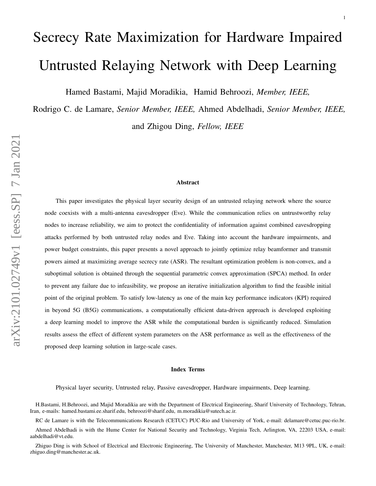# <span id="page-0-0"></span>Secrecy Rate Maximization for Hardware Impaired Untrusted Relaying Network with Deep Learning

1

Hamed Bastami, Majid Moradikia, Hamid Behroozi, *Member, IEEE,*

Rodrigo C. de Lamare, *Senior Member, IEEE,* Ahmed Abdelhadi, *Senior Member, IEEE,* and Zhigou Ding, *Fellow, IEEE*

#### Abstract

This paper investigates the physical layer security design of an untrusted relaying network where the source node coexists with a multi-antenna eavesdropper (Eve). While the communication relies on untrustworthy relay nodes to increase reliability, we aim to protect the confidentiality of information against combined eavesdropping attacks performed by both untrusted relay nodes and Eve. Taking into account the hardware impairments, and power budget constraints, this paper presents a novel approach to jointly optimize relay beamformer and transmit powers aimed at maximizing average secrecy rate (ASR). The resultant optimization problem is non-convex, and a suboptimal solution is obtained through the sequential parametric convex approximation (SPCA) method. In order to prevent any failure due to infeasibility, we propose an iterative initialization algorithm to find the feasible initial point of the original problem. To satisfy low-latency as one of the main key performance indicators (KPI) required in beyond 5G (B5G) communications, a computationally efficient data-driven approach is developed exploiting a deep learning model to improve the ASR while the computational burden is significantly reduced. Simulation results assess the effect of different system parameters on the ASR performance as well as the effectiveness of the proposed deep learning solution in large-scale cases.

#### Index Terms

Physical layer security, Untrusted relay, Passive eavesdropper, Hardware impairments, Deep learning.

H.Bastami, H.Behroozi, and Majid Moradikia are with the Department of Electrical Engineering, Sharif University of Technology, Tehran, Iran, e-mails: hamed.bastami.ee.sharif.edu, behroozi@sharif.edu, m.moradikia@sutech.ac.ir.

RC de Lamare is with the Telecommunications Research (CETUC) PUC-Rio and University of York, e-mail: [delamare@cetuc.puc-rio.br.](mailto:delamare@cetuc.puc-rio.br)

Ahmed Abdelhadi is with the Hume Center for National Security and Technology, Virginia Tech, Arlington, VA, 22203 USA, e-mail: [aabdelhadi@vt.edu.](mailto:aabdelhadi@vt.edu)

Zhiguo Ding is with School of Electrical and Electronic Engineering, The University of Manchester, Manchester, M13 9PL, UK, e-mail: [zhiguo.ding@manchester.ac.uk.](mailto:zhiguo.ding@manchester.ac.uk)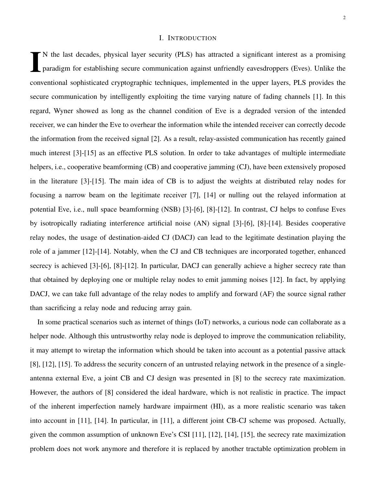#### I. INTRODUCTION

I N the last decades, physical layer security (PLS) has attracted a significant interest as a promising paradigm for establishing secure communication against unfriendly eavesdroppers (Eves). Unlike the conventional sophisticated cryptographic techniques, implemented in the upper layers, PLS provides the secure communication by intelligently exploiting the time varying nature of fading channels [\[1\]](#page-28-0). In this regard, Wyner showed as long as the channel condition of Eve is a degraded version of the intended receiver, we can hinder the Eve to overhear the information while the intended receiver can correctly decode the information from the received signal [\[2\]](#page-28-1). As a result, relay-assisted communication has recently gained much interest [\[3\]](#page-28-2)-[\[15\]](#page-29-0) as an effective PLS solution. In order to take advantages of multiple intermediate helpers, i.e., cooperative beamforming (CB) and cooperative jamming (CJ), have been extensively proposed in the literature [\[3\]](#page-28-2)-[\[15\]](#page-29-0). The main idea of CB is to adjust the weights at distributed relay nodes for focusing a narrow beam on the legitimate receiver [\[7\]](#page-28-3), [\[14\]](#page-29-1) or nulling out the relayed information at potential Eve, i.e., null space beamforming (NSB) [\[3\]](#page-28-2)-[\[6\]](#page-28-4), [\[8\]](#page-28-5)-[\[12\]](#page-29-2). In contrast, CJ helps to confuse Eves by isotropically radiating interference artificial noise (AN) signal [\[3\]](#page-28-2)-[\[6\]](#page-28-4), [\[8\]](#page-28-5)-[\[14\]](#page-29-1). Besides cooperative relay nodes, the usage of destination-aided CJ (DACJ) can lead to the legitimate destination playing the role of a jammer [\[12\]](#page-29-2)-[\[14\]](#page-29-1). Notably, when the CJ and CB techniques are incorporated together, enhanced secrecy is achieved [\[3\]](#page-28-2)-[\[6\]](#page-28-4), [\[8\]](#page-28-5)-[\[12\]](#page-29-2). In particular, DACJ can generally achieve a higher secrecy rate than that obtained by deploying one or multiple relay nodes to emit jamming noises [\[12\]](#page-29-2). In fact, by applying DACJ, we can take full advantage of the relay nodes to amplify and forward (AF) the source signal rather than sacrificing a relay node and reducing array gain.

In some practical scenarios such as internet of things (IoT) networks, a curious node can collaborate as a helper node. Although this untrustworthy relay node is deployed to improve the communication reliability, it may attempt to wiretap the information which should be taken into account as a potential passive attack [\[8\]](#page-28-5), [\[12\]](#page-29-2), [\[15\]](#page-29-0). To address the security concern of an untrusted relaying network in the presence of a singleantenna external Eve, a joint CB and CJ design was presented in [\[8\]](#page-28-5) to the secrecy rate maximization. However, the authors of [\[8\]](#page-28-5) considered the ideal hardware, which is not realistic in practice. The impact of the inherent imperfection namely hardware impairment (HI), as a more realistic scenario was taken into account in [\[11\]](#page-29-3), [\[14\]](#page-29-1). In particular, in [\[11\]](#page-29-3), a different joint CB-CJ scheme was proposed. Actually, given the common assumption of unknown Eve's CSI [\[11\]](#page-29-3), [\[12\]](#page-29-2), [\[14\]](#page-29-1), [\[15\]](#page-29-0), the secrecy rate maximization problem does not work anymore and therefore it is replaced by another tractable optimization problem in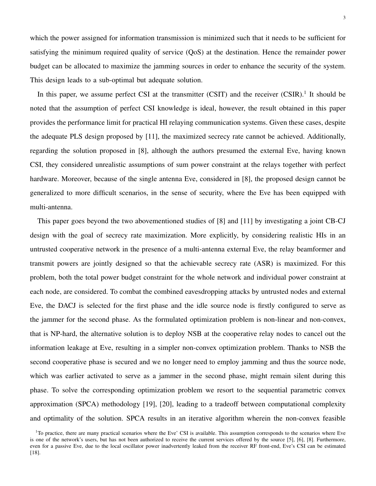which the power assigned for information transmission is minimized such that it needs to be sufficient for satisfying the minimum required quality of service (QoS) at the destination. Hence the remainder power budget can be allocated to maximize the jamming sources in order to enhance the security of the system. This design leads to a sub-optimal but adequate solution.

In this paper, we assume perfect CSI at the transmitter (CSIT) and the receiver (CSIR).<sup>[1](#page-2-0)</sup> It should be noted that the assumption of perfect CSI knowledge is ideal, however, the result obtained in this paper provides the performance limit for practical HI relaying communication systems. Given these cases, despite the adequate PLS design proposed by [\[11\]](#page-29-3), the maximized secrecy rate cannot be achieved. Additionally, regarding the solution proposed in [\[8\]](#page-28-5), although the authors presumed the external Eve, having known CSI, they considered unrealistic assumptions of sum power constraint at the relays together with perfect hardware. Moreover, because of the single antenna Eve, considered in [\[8\]](#page-28-5), the proposed design cannot be generalized to more difficult scenarios, in the sense of security, where the Eve has been equipped with multi-antenna.

This paper goes beyond the two abovementioned studies of [\[8\]](#page-28-5) and [\[11\]](#page-29-3) by investigating a joint CB-CJ design with the goal of secrecy rate maximization. More explicitly, by considering realistic HIs in an untrusted cooperative network in the presence of a multi-antenna external Eve, the relay beamformer and transmit powers are jointly designed so that the achievable secrecy rate (ASR) is maximized. For this problem, both the total power budget constraint for the whole network and individual power constraint at each node, are considered. To combat the combined eavesdropping attacks by untrusted nodes and external Eve, the DACJ is selected for the first phase and the idle source node is firstly configured to serve as the jammer for the second phase. As the formulated optimization problem is non-linear and non-convex, that is NP-hard, the alternative solution is to deploy NSB at the cooperative relay nodes to cancel out the information leakage at Eve, resulting in a simpler non-convex optimization problem. Thanks to NSB the second cooperative phase is secured and we no longer need to employ jamming and thus the source node, which was earlier activated to serve as a jammer in the second phase, might remain silent during this phase. To solve the corresponding optimization problem we resort to the sequential parametric convex approximation (SPCA) methodology [\[19\]](#page-29-4), [\[20\]](#page-29-5), leading to a tradeoff between computational complexity and optimality of the solution. SPCA results in an iterative algorithm wherein the non-convex feasible

<span id="page-2-0"></span> $1$ <sup>1</sup>To practice, there are many practical scenarios where the Eve' CSI is available. This assumption corresponds to the scenarios where Eve is one of the network's users, but has not been authorized to receive the current services offered by the source [\[5\]](#page-28-6), [\[6\]](#page-28-4), [\[8\]](#page-28-5). Furthermore, even for a passive Eve, due to the local oscillator power inadvertently leaked from the receiver RF front-end, Eve's CSI can be estimated [\[18\]](#page-29-6).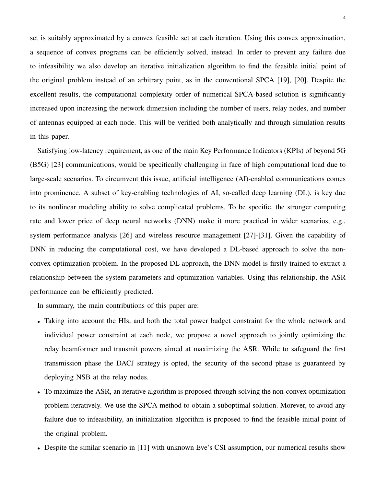set is suitably approximated by a convex feasible set at each iteration. Using this convex approximation, a sequence of convex programs can be efficiently solved, instead. In order to prevent any failure due to infeasibility we also develop an iterative initialization algorithm to find the feasible initial point of the original problem instead of an arbitrary point, as in the conventional SPCA [\[19\]](#page-29-4), [\[20\]](#page-29-5). Despite the excellent results, the computational complexity order of numerical SPCA-based solution is significantly increased upon increasing the network dimension including the number of users, relay nodes, and number of antennas equipped at each node. This will be verified both analytically and through simulation results in this paper.

Satisfying low-latency requirement, as one of the main Key Performance Indicators (KPIs) of beyond 5G (B5G) [\[23\]](#page-30-0) communications, would be specifically challenging in face of high computational load due to large-scale scenarios. To circumvent this issue, artificial intelligence (AI)-enabled communications comes into prominence. A subset of key-enabling technologies of AI, so-called deep learning (DL), is key due to its nonlinear modeling ability to solve complicated problems. To be specific, the stronger computing rate and lower price of deep neural networks (DNN) make it more practical in wider scenarios, e.g., system performance analysis [\[26\]](#page-30-1) and wireless resource management [\[27\]](#page-30-2)-[\[31\]](#page-30-3). Given the capability of DNN in reducing the computational cost, we have developed a DL-based approach to solve the nonconvex optimization problem. In the proposed DL approach, the DNN model is firstly trained to extract a relationship between the system parameters and optimization variables. Using this relationship, the ASR performance can be efficiently predicted.

In summary, the main contributions of this paper are:

- Taking into account the HIs, and both the total power budget constraint for the whole network and individual power constraint at each node, we propose a novel approach to jointly optimizing the relay beamformer and transmit powers aimed at maximizing the ASR. While to safeguard the first transmission phase the DACJ strategy is opted, the security of the second phase is guaranteed by deploying NSB at the relay nodes.
- To maximize the ASR, an iterative algorithm is proposed through solving the non-convex optimization problem iteratively. We use the SPCA method to obtain a suboptimal solution. Morever, to avoid any failure due to infeasibility, an initialization algorithm is proposed to find the feasible initial point of the original problem.
- Despite the similar scenario in [\[11\]](#page-29-3) with unknown Eve's CSI assumption, our numerical results show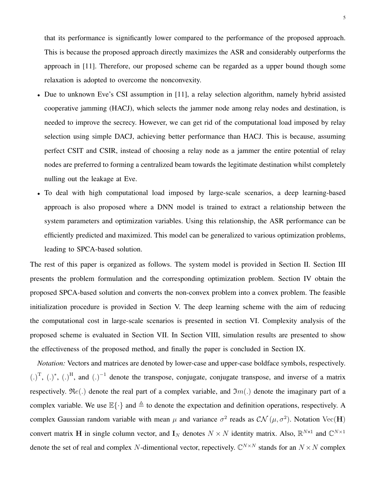that its performance is significantly lower compared to the performance of the proposed approach. This is because the proposed approach directly maximizes the ASR and considerably outperforms the approach in [\[11\]](#page-29-3). Therefore, our proposed scheme can be regarded as a upper bound though some relaxation is adopted to overcome the nonconvexity.

- Due to unknown Eve's CSI assumption in [\[11\]](#page-29-3), a relay selection algorithm, namely hybrid assisted cooperative jamming (HACJ), which selects the jammer node among relay nodes and destination, is needed to improve the secrecy. However, we can get rid of the computational load imposed by relay selection using simple DACJ, achieving better performance than HACJ. This is because, assuming perfect CSIT and CSIR, instead of choosing a relay node as a jammer the entire potential of relay nodes are preferred to forming a centralized beam towards the legitimate destination whilst completely nulling out the leakage at Eve.
- To deal with high computational load imposed by large-scale scenarios, a deep learning-based approach is also proposed where a DNN model is trained to extract a relationship between the system parameters and optimization variables. Using this relationship, the ASR performance can be efficiently predicted and maximized. This model can be generalized to various optimization problems, leading to SPCA-based solution.

The rest of this paper is organized as follows. The system model is provided in Section II. Section III presents the problem formulation and the corresponding optimization problem. Section IV obtain the proposed SPCA-based solution and converts the non-convex problem into a convex problem. The feasible initialization procedure is provided in Section V. The deep learning scheme with the aim of reducing the computational cost in large-scale scenarios is presented in section VI. Complexity analysis of the proposed scheme is evaluated in Section VII. In Section VIII, simulation results are presented to show the effectiveness of the proposed method, and finally the paper is concluded in Section IX.

*Notation:* Vectors and matrices are denoted by lower-case and upper-case boldface symbols, respectively.  $(.)^T$ ,  $(.)^*$ ,  $(.)^H$ , and  $(.)^{-1}$  denote the transpose, conjugate, conjugate transpose, and inverse of a matrix respectively.  $\Re(e)$  denote the real part of a complex variable, and  $\Im(m)$  denote the imaginary part of a complex variable. We use  $\mathbb{E}\{\cdot\}$  and  $\triangleq$  to denote the expectation and definition operations, respectively. A complex Gaussian random variable with mean  $\mu$  and variance  $\sigma^2$  reads as  $\mathcal{CN}(\mu, \sigma^2)$ . Notation Vec(H) convert matrix H in single column vector, and  $I_N$  denotes  $N \times N$  identity matrix. Also,  $\mathbb{R}^{N \times 1}$  and  $\mathbb{C}^{N \times 1}$ denote the set of real and complex N-dimentional vector, repectively.  $\mathbb{C}^{N \times N}$  stands for an  $N \times N$  complex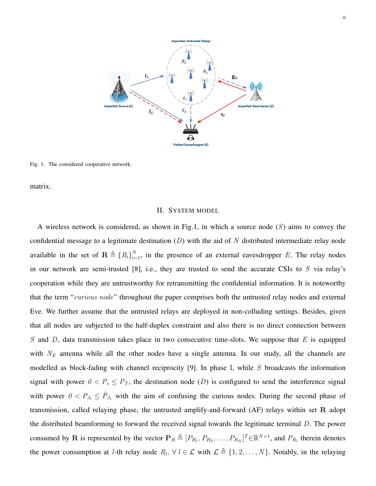

Fig. 1. The considered cooperative network.

matrix.

#### II. SYSTEM MODEL

A wireless network is considered, as shown in Fig.1, in which a source node  $(S)$  aims to convey the confidential message to a legitimate destination  $(D)$  with the aid of N distributed intermediate relay node available in the set of  $\mathbf{R} \triangleq \{R_i\}_{i=1}^N$ , in the presence of an external eavesdropper E. The relay nodes in our network are semi-trusted [\[8\]](#page-28-5), i.e., they are trusted to send the accurate CSIs to  $S$  via relay's cooperation while they are untrustworthy for retransmitting the confidential information. It is noteworthy that the term "curious node" throughout the paper comprises both the untrusted relay nodes and external Eve. We further assume that the untrusted relays are deployed in non-colluding settings. Besides, given that all nodes are subjected to the half-duplex constraint and also there is no direct connection between S and D, data transmission takes place in two consecutive time-slots. We suppose that  $E$  is equipped with  $N_E$  antenna while all the other nodes have a single antenna. In our study, all the channels are modelled as block-fading with channel reciprocity [\[9\]](#page-28-7). In phase I, while  $S$  broadcasts the information signal with power  $0 < P_s \leq P_T$ , the destination node (D) is configured to send the interference signal with power  $0 < P_{J_1} \le \bar{P}_{J_1}$  with the aim of confusing the curious nodes. During the second phase of transmission, called relaying phase, the untrusted amplify-and-forward  $(AF)$  relays within set R adopt the distributed beamforming to forward the received signal towards the legitimate terminal D. The power consumed by R is represented by the vector  $\mathbf{P}_R \triangleq [P_{R_1}, P_{R_2}, \dots, P_{R_N}]^T \in \mathbb{R}^{N \times 1}$ , and  $P_{R_l}$  therein denotes the power consumption at *l*-th relay node  $R_l$ ,  $\forall l \in \mathcal{L}$  with  $\mathcal{L} \triangleq \{1, 2, ..., N\}$ . Notably, in the relaying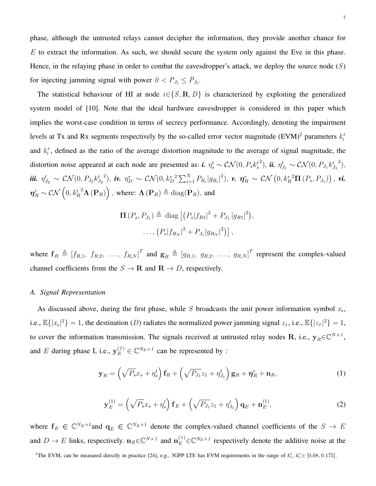phase, although the untrusted relays cannot decipher the information, they provide another chance for  $E$  to extract the information. As such, we should secure the system only against the Eve in this phase. Hence, in the relaying phase in order to combat the eavesdropper's attack, we deploy the source node  $(S)$ for injecting jamming signal with power  $0 < P_{J_2} \le \bar{P}_{J_2}$ .

The statistical behaviour of HI at node  $i \in \{S, \mathbf{R}, D\}$  is characterized by exploiting the generalized system model of [\[10\]](#page-29-7). Note that the ideal hardware eavesdropper is considered in this paper which implies the worst-case condition in terms of secrecy performance. Accordingly, denoting the impairment levels at Tx and Rx segments respectively by the so-called error vector magnitude  $(EVM)^2$  $(EVM)^2$  parameters  $k_i^t$ and  $k_i^r$ , defined as the ratio of the average distortion magnitude to the average of signal magnitude, the distortion noise appeared at each node are presented as:  $\boldsymbol{i}$ .  $\eta_s^t \sim \mathcal{CN}(0, P_s k_s^t)$ <sup>2</sup>), **ii.**  $\eta_{J_1}^t \sim \mathcal{CN}(0, P_{J_1} k_{J_1}^t)$  $^{2}$ ), iii.  $\eta_{J_2}^t \sim \mathcal{CN}(0, P_{J_2} k_{J_2}^t)$  $\hat{\bm{\eta}}_D^2 \sim \mathcal{CN}(0,k_D^{r-2}\sum_{i=1}^N P_{R_i} |g_{R_i}|^2), \ \bm{\nu} \text{,} \ \bm{\eta}_R^r \sim \mathcal{CN}\left(0,k_R^{r-2}\bm{\Pi}\left(P_s,P_{J_1}\right)\right), \ \bm{\nu i} \text{,}$  $\boldsymbol{\eta}_R^t \sim \mathcal{CN}\left(0, {k_R^t}^2 \boldsymbol{\Lambda}\left(\mathbf{P}_R\right)\right), \text{ where: } \boldsymbol{\Lambda}\left(\mathbf{P}_R\right) \triangleq \text{diag}(\mathbf{P}_R), \text{ and}$ 

$$
\Pi(P_s, P_{J_1}) \triangleq \text{diag}\left[\left(P_s|f_{R1}|^2 + P_{J_1}|g_{R1}|^2\right),\right.\left.\left.\dots, \left(P_s|f_{R_N}|^2 + P_{J_1}|g_{R_N}|^2\right)\right],
$$

where  $f_R \triangleq [f_{R,1}, f_{R,2}, \ldots, f_{R,N}]^T$  and  $g_R \triangleq [g_{R,1}, g_{R,2}, \ldots, g_{R,N}]^T$  represent the complex-valued channel coefficients from the  $S \to \mathbf{R}$  and  $\mathbf{R} \to D$ , respectively.

#### *A. Signal Representation*

As discussed above, during the first phase, while  $S$  broadcasts the unit power information symbol  $x_s$ , i.e.,  $\mathbb{E}\{|x_s|^2\} = 1$ , the destination (D) radiates the normalized power jamming signal  $z_1$ , i.e.,  $\mathbb{E}\{|z_1|^2\} = 1$ , to cover the information transmission. The signals received at untrusted relay nodes R, i.e.,  $y_R \in \mathbb{C}^{N \times 1}$ , and E during phase I, i.e.,  $y_E^{(1)} \in \mathbb{C}^{N_E \times 1}$  can be represented by :

$$
\mathbf{y}_R = \left(\sqrt{P_s}x_s + \eta_s^t\right)\mathbf{f}_R + \left(\sqrt{P_{J_1}}z_1 + \eta_{J_1}^t\right)\mathbf{g}_R + \boldsymbol{\eta}_R^r + \mathbf{n}_R,\tag{1}
$$

$$
\mathbf{y}_{E}^{(1)} = \left(\sqrt{P_s}x_s + \eta_s^t\right)\mathbf{f}_E + \left(\sqrt{P_{J_1}}z_1 + \eta_{J_1}^t\right)\mathbf{q}_E + \mathbf{n}_E^{(1)},\tag{2}
$$

where  $f_E \in \mathbb{C}^{N_E \times 1}$  and  $q_E \in \mathbb{C}^{N_E \times 1}$  denote the complex-valued channel coefficients of the  $S \to E$ and  $D \to E$  links, respectively.  $\mathbf{n}_R \in \mathbb{C}^{N \times 1}$  and  $\mathbf{n}_E^{(1)} \in \mathbb{C}^{N_E \times 1}$  respectively denote the additive noise at the

<span id="page-6-0"></span><sup>2</sup>The EVM, can be measured directly in practice [\[24\]](#page-30-4), e.g., 3GPP LTE has EVM requirements in the range of  $k_i^t$ ,  $k_i^r \in [0.08, 0.175]$ .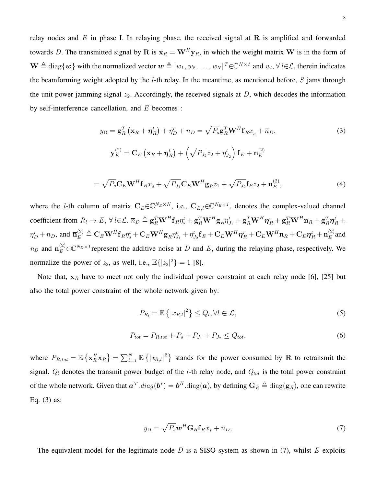relay nodes and  $E$  in phase I. In relaying phase, the received signal at R is amplified and forwarded towards D. The transmitted signal by R is  $x_R = W^H y_R$ , in which the weight matrix W is in the form of  $\mathbf{W} \triangleq \text{diag}\{\mathbf{w}\}\$  with the normalized vector  $\mathbf{w} \triangleq [w_1, w_2, \dots, w_N]^T \in \mathbb{C}^{N \times 1}$  and  $w_l, \forall l \in \mathcal{L}$ , therein indicates the beamforming weight adopted by the  $l$ -th relay. In the meantime, as mentioned before,  $S$  jams through the unit power jamming signal  $z_2$ . Accordingly, the received signals at  $D$ , which decodes the information by self-interference cancellation, and  $E$  becomes :

$$
y_{\rm D} = \mathbf{g}_{R}^{T} \left( \mathbf{x}_{R} + \boldsymbol{\eta}_{R}^{t} \right) + \eta_{D}^{r} + n_{D} = \sqrt{P_{s}} \mathbf{g}_{R}^{T} \mathbf{W}^{H} \mathbf{f}_{R} x_{s} + \overline{n}_{D},
$$
  
\n
$$
\mathbf{y}_{E}^{(2)} = \mathbf{C}_{E} \left( \mathbf{x}_{R} + \boldsymbol{\eta}_{R}^{t} \right) + \left( \sqrt{P_{J_{2}}} z_{2} + \eta_{J_{2}}^{t} \right) \mathbf{f}_{E} + \mathbf{n}_{E}^{(2)}
$$
  
\n
$$
= \sqrt{P_{s}} \mathbf{C}_{E} \mathbf{W}^{H} \mathbf{f}_{R} x_{s} + \sqrt{P_{J_{1}}} \mathbf{C}_{E} \mathbf{W}^{H} \mathbf{g}_{R} z_{1} + \sqrt{P_{J_{2}}} \mathbf{f}_{E} z_{2} + \overline{\mathbf{n}}_{E}^{(2)},
$$
\n(4)

where the *l*-th column of matrix  $C_E \in \mathbb{C}^{N_E \times N}$ , i.e.,  $C_{E,l} \in \mathbb{C}^{N_E \times 1}$ , denotes the complex-valued channel coefficient from  $R_l \to E$ ,  $\forall l \in \mathcal{L}$ .  $\overline{n}_D \triangleq \mathbf{g}_R^T \mathbf{W}^H \mathbf{f}_R \eta_s^t + \mathbf{g}_R^T \mathbf{W}^H \mathbf{g}_R \eta_{J_1}^t + \mathbf{g}_R^T \mathbf{W}^H \boldsymbol{\eta}_R^r + \mathbf{g}_R^T \mathbf{W}^H \mathbf{n}_R + \mathbf{g}_R^T \boldsymbol{\eta}_R^t +$  $\eta^r_D + n_D, \text{ and } \overline{\mathbf{n}}^{(2)}_E \triangleq \mathbf{C}_E \mathbf{W}^H \mathbf{f}_R \eta^t_s + \mathbf{C}_E \mathbf{W}^H \mathbf{g}_R \eta^t_{J_1} + \eta^t_{J_2} \mathbf{f}_E + \mathbf{C}_E \mathbf{W}^H \boldsymbol{\eta}^r_R + \mathbf{C}_E \mathbf{W}^H \mathbf{n}_R + \mathbf{C}_E \boldsymbol{\eta}^t_R + \mathbf{n}^{(2)}_E$  $E^{(2)}$  and  $n_D$  and  $n_E^{(2)} \in \mathbb{C}^{N_E \times 1}$  represent the additive noise at D and E, during the relaying phase, respectively. We normalize the power of  $z_2$ , as well, i.e.,  $\mathbb{E}\{|z_2|^2\} = 1$  [\[8\]](#page-28-5).

Note that,  $x_R$  have to meet not only the individual power constraint at each relay node [\[6\]](#page-28-4), [\[25\]](#page-30-5) but also the total power constraint of the whole network given by:

$$
P_{R_l} = \mathbb{E}\left\{|x_{R,l}|^2\right\} \le Q_l, \forall l \in \mathcal{L},\tag{5}
$$

$$
P_{tot} = P_{R,tot} + P_s + P_{J_1} + P_{J_2} \le Q_{tot},\tag{6}
$$

where  $P_{R,tot} = \mathbb{E} \left\{ \mathbf{x}_R^H \mathbf{x}_R \right\} = \sum_{l=1}^N \mathbb{E} \left\{ |x_{R,l}|^2 \right\}$  stands for the power consumed by R to retransmit the signal.  $Q_l$  denotes the transmit power budget of the *l*-th relay node, and  $Q_{tot}$  is the total power constraint of the whole network. Given that  $a^T \cdot diag(b^*) = b^H \cdot diag(a)$ , by defining  $G_R \triangleq diag(g_R)$ , one can rewrite Eq. (3) as:

$$
y_{\rm D} = \sqrt{P_s} \mathbf{w}^H \mathbf{G}_R \mathbf{f}_R x_s + \bar{n}_D, \tag{7}
$$

The equivalent model for the legitimate node D is a SISO system as shown in  $(7)$ , whilst E exploits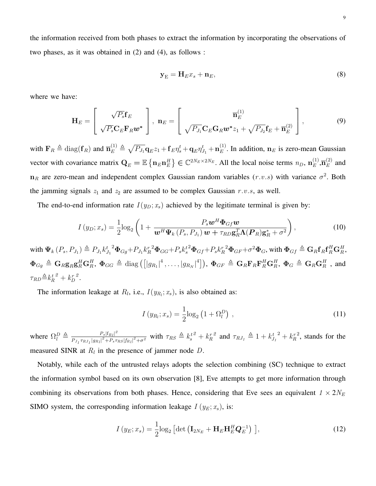the information received from both phases to extract the information by incorporating the observations of two phases, as it was obtained in (2) and (4), as follows :

$$
\mathbf{y}_{\mathrm{E}} = \mathbf{H}_{E} x_s + \mathbf{n}_E, \tag{8}
$$

where we have:

$$
\mathbf{H}_{E} = \left[ \begin{array}{c} \sqrt{P_{s}} \mathbf{f}_{E} \\ \sqrt{P_{s}} \mathbf{C}_{E} \mathbf{F}_{R} \boldsymbol{w}^{*} \end{array} \right], \ \mathbf{n}_{E} = \left[ \begin{array}{c} \overline{\mathbf{n}}_{E}^{(1)} \\ \sqrt{P_{J_{1}}} \mathbf{C}_{E} \mathbf{G}_{R} \boldsymbol{w}^{*} z_{1} + \sqrt{P_{J_{2}}} \mathbf{f}_{E} + \overline{\mathbf{n}}_{E}^{(2)} \end{array} \right], \tag{9}
$$

with  $\mathbf{F}_R \triangleq \text{diag}(\mathbf{f}_R)$  and  $\overline{\mathbf{n}}_E^{(1)} \triangleq \sqrt{P_{J_1}} \mathbf{q}_E z_1 + \mathbf{f}_E \eta_s^t + \mathbf{q}_E \eta_{J_1}^t + \mathbf{n}_E^{(1)}$  $E^{(1)}$ . In addition,  $n_E$  is zero-mean Gaussian vector with covariance matrix  $\mathbf{Q}_E = \mathbb{E} \left\{ \mathbf{n}_E \mathbf{n}_E^H \right\} \in \mathbb{C}^{2N_E \times 2N_E}$ . All the local noise terms  $n_D$ ,  $\mathbf{n}_E^{(1)}$  $_{E}^{\left( 1\right) },\overline{\mathbf{n}}_{E}^{\left( 2\right) }$  $E^{(2)}$  and  $n_R$  are zero-mean and independent complex Gaussian random variables  $(r.v.s)$  with variance  $\sigma^2$ . Both the jamming signals  $z_1$  and  $z_2$  are assumed to be complex Gaussian  $r.v.s$ , as well.

The end-to-end information rate  $I(y_D; x_s)$  achieved by the legitimate terminal is given by:

$$
I(y_D; x_s) = \frac{1}{2} \log_2 \left( 1 + \frac{P_s \boldsymbol{w}^H \boldsymbol{\Phi}_{Gf} \boldsymbol{w}}{\boldsymbol{w}^H \boldsymbol{\Psi}_k \left( P_s, P_{J_1} \right) \boldsymbol{w} + \tau_{RD} \mathbf{g}_R^T \boldsymbol{\Lambda}(\boldsymbol{P}_R) \mathbf{g}_R^* + \sigma^2} \right), \tag{10}
$$

with  $\Psi_k(P_s, P_{J_1}) \triangleq P_{J_1} k_{J_1}^{t-2} \Phi_{Gg} + P_{J_1} k_R^{r-2} \Phi_{GG} + P_s k_s^{t-2} \Phi_{Gf} + P_s k_R^{r-2} \Phi_{GF} + \sigma^2 \Phi_{G}$ , with  $\Phi_{Gf} \triangleq \mathbf{G}_R \mathbf{f}_R \mathbf{f}_R^H \mathbf{G}_R^H$ ,  $\begin{aligned} \boldsymbol{\Phi}_{Gg} \: &\triangleq \: \mathbf{G}_R \mathbf{g}_R \mathbf{g}_R^H \mathbf{G}_R^H, \: \boldsymbol{\Phi}_{GG} \: \triangleq \: \text{diag} \left( \left[ |g_{R_1}|^4 \, , \ldots , |g_{R_N}|^4 \right] \right), \: \boldsymbol{\Phi}_{GF} \: \triangleq \: \mathbf{G}_R \mathbf{F}_R \mathbf{F}_R^H \mathbf{G}_R^H, \: \boldsymbol{\Phi}_{G} \: \triangleq \: \mathbf{G}_R \mathbf{G}_R^H \: \text{ , and} \end{aligned}$  $\tau_{RD} \triangleq k_R^{t^2} + k_D^r$ 2 .

The information leakage at  $R_l$ , i.e.,  $I(y_{R_l}; x_s)$ , is also obtained as:

$$
I(y_{R_l}; x_s) = \frac{1}{2}\log_2\left(1 + \Omega_l^D\right) , \qquad (11)
$$

where  $\Omega_l^D \triangleq \frac{P_s |f_{R_l}|^2}{P_{l,TR_l} |g_{R_l}|^2 + P_s \tau}$  $\frac{P_s |f_{Rl}|^2}{P_{J_1} \tau_{RJ_1} |g_{Rl}|^2 + P_s \tau_{RS} |f_{Rl}|^2 + \sigma^2}$  with  $\tau_{RS} \triangleq k_s^{t^2} + k_R^{rt}$ <sup>2</sup> and  $\tau_{RJ_1} \triangleq 1 + k_{J_1}^{t^2} + k_R^r$ 2 , stands for the measured SINR at  $R_l$  in the presence of jammer node D.

Notably, while each of the untrusted relays adopts the selection combining (SC) technique to extract the information symbol based on its own observation [\[8\]](#page-28-5), Eve attempts to get more information through combining its observations from both phases. Hence, considering that Eve sees an equivalent  $1 \times 2N_E$ SIMO system, the corresponding information leakage  $I(y_E; x_s)$ , is:

$$
I(y_E; x_s) = \frac{1}{2}\log_2\left[\det\left(\mathbf{I}_{2N_E} + \mathbf{H}_E\mathbf{H}_E^H\mathbf{Q}_E^{-1}\right)\right],\tag{12}
$$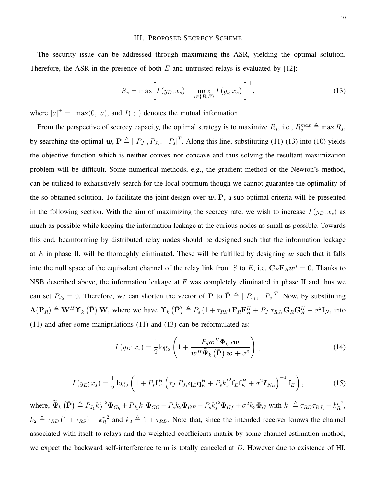#### III. PROPOSED SECRECY SCHEME

The security issue can be addressed through maximizing the ASR, yielding the optimal solution. Therefore, the ASR in the presence of both  $E$  and untrusted relays is evaluated by [\[12\]](#page-29-2):

$$
R_s = \max \left[ I\left(y_D; x_s\right) - \max_{i \in \{R, E\}} I\left(y_i; x_s\right) \right]^+, \tag{13}
$$

where  $[a]^+ = \max(0, a)$ , and  $I(:,.)$  denotes the mutual information.

From the perspective of secrecy capacity, the optimal strategy is to maximize  $R_s$ , i.e.,  $R_s^{max} \triangleq \max R_s$ , by searching the optimal  $w, P \triangleq [P_{J_1}, P_{J_2}, P_s]^T$ . Along this line, substituting (11)-(13) into (10) yields the objective function which is neither convex nor concave and thus solving the resultant maximization problem will be difficult. Some numerical methods, e.g., the gradient method or the Newton's method, can be utilized to exhaustively search for the local optimum though we cannot guarantee the optimality of the so-obtained solution. To facilitate the joint design over  $w$ ,  $P$ , a sub-optimal criteria will be presented in the following section. With the aim of maximizing the secrecy rate, we wish to increase  $I(y_D; x_s)$  as much as possible while keeping the information leakage at the curious nodes as small as possible. Towards this end, beamforming by distributed relay nodes should be designed such that the information leakage at E in phase II, will be thoroughly eliminated. These will be fulfilled by designing w such that it falls into the null space of the equivalent channel of the relay link from S to E, i.e.  $C_E F_R w^* = 0$ . Thanks to NSB described above, the information leakage at *E* was completely eliminated in phase II and thus we can set  $P_{J_2} = 0$ . Therefore, we can shorten the vector of P to  $\bar{P} \triangleq [P_{J_1}, P_s]^T$ . Now, by substituting  $\Lambda(\mathbf{P}_R) \triangleq \mathbf{W}^H \Upsilon_k (\bar{\mathbf{P}}) \mathbf{W}$ , where we have  $\Upsilon_k (\bar{\mathbf{P}}) \triangleq P_s (1 + \tau_{RS}) \mathbf{F}_R \mathbf{F}_R^H + P_{J_1} \tau_{RJ_1} \mathbf{G}_R \mathbf{G}_R^H + \sigma^2 \mathbf{I}_N$ , into (11) and after some manipulations (11) and (13) can be reformulated as:

$$
I(y_D; x_s) = \frac{1}{2} \log_2 \left( 1 + \frac{P_s \boldsymbol{w}^H \boldsymbol{\Phi}_{Gf} \boldsymbol{w}}{\boldsymbol{w}^H \widetilde{\boldsymbol{\Psi}}_k (\bar{\mathbf{P}}) \boldsymbol{w} + \sigma^2} \right),
$$
(14)

$$
I(y_E; x_s) = \frac{1}{2} \log_2 \left( 1 + P_s \mathbf{f}_E^H \left( \tau_{J_1} P_{J_1} \mathbf{q}_E \mathbf{q}_E^H + P_s k_s^{t^2} \mathbf{f}_E \mathbf{f}_E^H + \sigma^2 \mathbf{I}_{N_E} \right)^{-1} \mathbf{f}_E \right), \tag{15}
$$

where,  $\widetilde{\Psi}_k(\bar{\mathbf{P}}) \triangleq P_{J_1} k_{J_1}^t{}^2 \Phi_{Gg} + P_{J_1} k_1 \Phi_{GG} + P_s k_2 \Phi_{GF} + P_s k_s^t{}^2 \Phi_{Gf} + \sigma^2 k_3 \Phi_G$  with  $k_1 \triangleq \tau_{RD} \tau_{RJ_1} + k_R^r$ 2 ,  $k_2 \triangleq \tau_{RD} (1 + \tau_{RS}) + k_R^r$ <sup>2</sup> and  $k_3 \triangleq 1 + \tau_{RD}$ . Note that, since the intended receiver knows the channel associated with itself to relays and the weighted coefficients matrix by some channel estimation method, we expect the backward self-interference term is totally canceled at D. However due to existence of HI,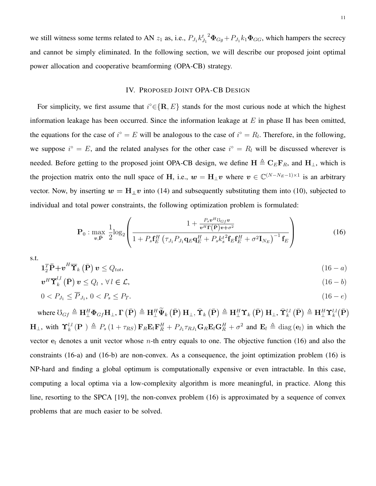we still witness some terms related to AN  $z_1$  as, i.e.,  $P_{J_1} k_{J_1}^{t^2} \Phi_{Gg} + P_{J_1} k_1 \Phi_{GG}$ , which hampers the secrecy and cannot be simply eliminated. In the following section, we will describe our proposed joint optimal power allocation and cooperative beamforming (OPA-CB) strategy.

# IV. PROPOSED JOINT OPA-CB DESIGN

For simplicity, we first assume that  $i^{\circ} \in \{R, E\}$  stands for the most curious node at which the highest information leakage has been occurred. Since the information leakage at  $E$  in phase II has been omitted, the equations for the case of  $i^{\circ} = E$  will be analogous to the case of  $i^{\circ} = R_l$ . Therefore, in the following, we suppose  $i^{\circ} = E$ , and the related analyses for the other case  $i^{\circ} = R_l$  will be discussed wherever is needed. Before getting to the proposed joint OPA-CB design, we define  $H \triangleq C_E F_R$ , and  $H_{\perp}$ , which is the projection matrix onto the null space of H, i.e.,  $w = H_{\perp}v$  where  $v \in \mathbb{C}^{(N-N_E-1)\times 1}$  is an arbitrary vector. Now, by inserting  $w = H_{\perp}v$  into (14) and subsequently substituting them into (10), subjected to individual and total power constraints, the following optimization problem is formulated:

$$
\mathbf{P}_0: \max_{\boldsymbol{v}, \tilde{\mathbf{P}}} \frac{1}{2} \log_2 \left( \frac{1 + \frac{P_s \boldsymbol{v}^H \boldsymbol{\mathcal{U}}_{Gf} \boldsymbol{v}}{\boldsymbol{v}^H \boldsymbol{\Gamma}(\tilde{\mathbf{P}}) \boldsymbol{v} + \sigma^2}}{1 + P_s \mathbf{f}_E^H \left( \tau_{J_1} P_{J_1} \mathbf{q}_E \mathbf{q}_E^H + P_s k_s^t \mathbf{f}_E \mathbf{f}_E^H + \sigma^2 \mathbf{I}_{N_E} \right)^{-1} \mathbf{f}_E} \right)
$$
(16)

s.t.

$$
\mathbf{1}_2^T \bar{\mathbf{P}} + \boldsymbol{v}^H \overline{\mathbf{T}}_k (\bar{\mathbf{P}}) \, \boldsymbol{v} \le Q_{tot},\tag{16-a}
$$

$$
\boldsymbol{v}^H \overline{\mathbf{T}}_k^{l,l} \left( \bar{\mathbf{P}} \right) \boldsymbol{v} \le Q_l \ , \ \forall \, l \in \mathcal{L}, \tag{16- b}
$$

$$
0 < P_{J_1} \le \overline{P}_{J_1}, \ 0 < P_s \le P_T. \tag{16-e}
$$

where  $\Im_{Gf} \triangleq \mathbf{H}^H_{\perp} \mathbf{\Phi}_{Gf} \mathbf{H}_{\perp}$ ,  $\mathbf{\Gamma} (\bar{\mathbf{P}}) \triangleq \mathbf{H}^H_{\perp} \widetilde{\mathbf{\Psi}}_k (\bar{\mathbf{P}}) \mathbf{H}_{\perp}$ ,  $\bar{\mathbf{\Upsilon}}_k (\bar{\mathbf{P}}) \triangleq \mathbf{H}^H_{\perp} \mathbf{\Upsilon}_k (\bar{\mathbf{P}}) \mathbf{H}_{\perp}$ ,  $\bar{\mathbf{\Upsilon}}_k^{l,l} (\bar{\mathbf{P}}) \triangleq \mathbf{H}^H_{$  $H_{\perp}$ , with  $\Upsilon_k^{l,l}(\mathbf{P}) \triangleq P_s(1 + \tau_{RS}) \mathbf{F}_R \mathbf{E}_l \mathbf{F}_R^H + P_{J_1} \tau_{RJ_1} \mathbf{G}_R \mathbf{E}_l \mathbf{G}_R^H + \sigma^2$  and  $\mathbf{E}_l \triangleq \text{diag}(\mathbf{e}_l)$  in which the vector  $e_l$  denotes a unit vector whose *n*-th entry equals to one. The objective function (16) and also the constraints (16-a) and (16-b) are non-convex. As a consequence, the joint optimization problem (16) is NP-hard and finding a global optimum is computationally expensive or even intractable. In this case, computing a local optima via a low-complexity algorithm is more meaningful, in practice. Along this line, resorting to the SPCA [\[19\]](#page-29-4), the non-convex problem (16) is approximated by a sequence of convex problems that are much easier to be solved.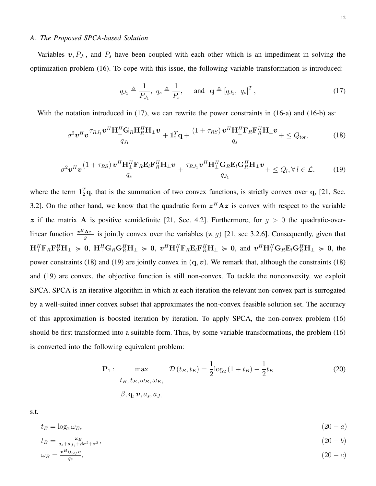# *A. The Proposed SPCA-based Solution*

Variables  $v, P_{J_1}$ , and  $P_s$  have been coupled with each other which is an impediment in solving the optimization problem (16). To cope with this issue, the following variable transformation is introduced:

$$
q_{J_1} \triangleq \frac{1}{P_{J_1}}, q_s \triangleq \frac{1}{P_s}, \text{ and } \mathbf{q} \triangleq [q_{J_1}, q_s]^T,
$$
 (17)

With the notation introduced in  $(17)$ , we can rewrite the power constraints in  $(16-a)$  and  $(16-b)$  as:

$$
\sigma^2 \boldsymbol{v}^H \boldsymbol{v} \frac{\tau_{RJ_1} \boldsymbol{v}^H \mathbf{H}_{\perp}^H \mathbf{G}_R \mathbf{H}_{R}^H \mathbf{H}_{\perp} \boldsymbol{v}}{q_{J_1}} + \mathbf{1}_2^T \mathbf{q} + \frac{\left(1 + \tau_{RS}\right) \boldsymbol{v}^H \mathbf{H}_{\perp}^H \mathbf{F}_R \mathbf{F}_{R}^H \mathbf{H}_{\perp} \boldsymbol{v}}{q_s} + \leq Q_{tot},\tag{18}
$$

$$
\sigma^2 \boldsymbol{v}^H \boldsymbol{v} \frac{\left(1+\tau_{RS}\right) \boldsymbol{v}^H \mathbf{H}_{\perp}^H \mathbf{F}_R \mathbf{E}_l \mathbf{F}_R^H \mathbf{H}_{\perp} \boldsymbol{v}}{q_s} + \frac{\tau_{RJ_1} \boldsymbol{v}^H \mathbf{H}_{\perp}^H \mathbf{G}_R \mathbf{E}_l \mathbf{G}_R^H \mathbf{H}_{\perp} \boldsymbol{v}}{q_{J_1}} + \leq Q_l, \forall l \in \mathcal{L}, \tag{19}
$$

where the term  $1_2^T$ q, that is the summation of two convex functions, is strictly convex over q, [\[21,](#page-30-6) Sec. 3.2]. On the other hand, we know that the quadratic form  $z^H A z$  is convex with respect to the variable z if the matrix A is positive semidefinite [\[21,](#page-30-6) Sec. 4.2]. Furthermore, for  $g > 0$  the quadratic-overlinear function  $\frac{z^H A z}{g}$  is jointly convex over the variables  $(z, g)$  [\[21,](#page-30-6) sec 3.2.6]. Consequently, given that  $\mathbf{H}_\perp^H \mathbf{F}_R \mathbf{F}_R^H \mathbf{H}_\perp \succ 0$ ,  $\mathbf{H}_\perp^H \mathbf{G}_R \mathbf{G}_R^H \mathbf{H}_\perp \succ 0$ , and  $\mathbf{v}^H \mathbf{H}_\perp^H \mathbf{G}_R \mathbf{E}_l \mathbf{G}_R^H \mathbf{H}_\perp \succ 0$ , the power constraints (18) and (19) are jointly convex in  $(q, v)$ . We remark that, although the constraints (18) and (19) are convex, the objective function is still non-convex. To tackle the nonconvexity, we exploit SPCA. SPCA is an iterative algorithm in which at each iteration the relevant non-convex part is surrogated by a well-suited inner convex subset that approximates the non-convex feasible solution set. The accuracy of this approximation is boosted iteration by iteration. To apply SPCA, the non-convex problem (16) should be first transformed into a suitable form. Thus, by some variable transformations, the problem (16) is converted into the following equivalent problem:

$$
\mathbf{P}_1: \max_{t_B, t_E, \omega_B, \omega_E,} \mathcal{D}(t_B, t_E) = \frac{1}{2} \log_2 \left(1 + t_B\right) - \frac{1}{2} t_E
$$
\n
$$
\beta, \mathbf{q}, \mathbf{v}, a_s, a_{J_1}
$$
\n(20)

s.t.

$$
t_E = \log_2 \omega_E,\tag{20-a}
$$

$$
t_B = \frac{\omega_B}{a_s + a_{J_1} + \beta \sigma^2 + \sigma^2},\tag{20-b}
$$

$$
\omega_B = \frac{v^H \mathfrak{V}_{Gf} v}{q_s},\tag{20-c}
$$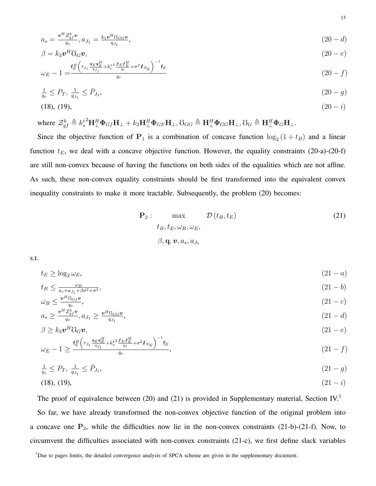$$
a_s = \frac{\mathbf{v}^H \mathcal{Z}_{gf}^k \mathbf{v}}{q_s}, a_{J_1} = \frac{k_1 \mathbf{v}^H \mathbf{v}_{GG} \mathbf{v}}{q_{J_1}},\tag{20-d}
$$

$$
\beta = k_3 \mathbf{v}^H \mathbf{U}_G \mathbf{v},\tag{20-e}
$$

$$
\omega_E - 1 = \frac{\mathbf{f}_E^H \left( \tau_{J_1} \frac{\mathbf{q}_E \mathbf{q}_E^H}{\mathbf{q}_{J_1}} + k_s^{t^2} \frac{\mathbf{f}_E \mathbf{f}_E^H}{\mathbf{q}_s} + \sigma^2 \mathbf{I}_{N_E} \right)^{-1} \mathbf{f}_E}{q_s}
$$
(20 - f)

$$
\frac{1}{q_s} \le P_T, \ \frac{1}{q_{J_1}} \le \bar{P}_{J_1},\tag{20--g}
$$

$$
(18), (19), \t(20-i)
$$

where 
$$
\mathcal{Z}_{gf}^k \triangleq k_s^{t^2} \mathbf{H}_{\perp}^H \mathbf{\Phi}_{Gf} \mathbf{H}_{\perp} + k_2 \mathbf{H}_{\perp}^H \mathbf{\Phi}_{GF} \mathbf{H}_{\perp}, \mathcal{V}_{GG} \triangleq \mathbf{H}_{\perp}^H \mathbf{\Phi}_{GG} \mathbf{H}_{\perp}, \mathcal{V}_{G} \triangleq \mathbf{H}_{\perp}^H \mathbf{\Phi}_{G} \mathbf{H}_{\perp}.
$$

Since the objective function of  $P_1$  is a combination of concave function  $\log_2(1+t_B)$  and a linear function  $t_E$ , we deal with a concave objective function. However, the equality constraints (20-a)-(20-f) are still non-convex because of having the functions on both sides of the equalities which are not affine. As such, these non-convex equality constraints should be first transformed into the equivalent convex inequality constraints to make it more tractable. Subsequently, the problem (20) becomes:

$$
\mathbf{P}_2: \max_{\mathbf{t}_B, \mathbf{t}_E, \omega_B, \omega_E,} \mathcal{D}(\mathbf{t}_B, \mathbf{t}_E)
$$
\n
$$
\beta, \mathbf{q}, \mathbf{v}, a_s, a_{J_1}
$$
\n(21)

s.t.

$$
t_E \ge \log_2 \omega_E,\tag{21-a}
$$

$$
t_B \le \frac{\omega_B}{a_s + a_{J_1} + \beta \sigma^2 + \sigma^2},\tag{21-b}
$$

$$
\omega_B \le \frac{v^H \mathcal{V}_{Gf} v}{q_s},
$$
\n
$$
a_s \ge \frac{v^H \mathcal{Z}_{gf}^k v}{q_s}, a_{J_1} \ge \frac{v^H \mathcal{V}_{GG} v}{q_{J_1}},
$$
\n
$$
(21 - c)
$$
\n
$$
(21 - d)
$$

$$
\beta \ge k_3 \boldsymbol{v}^H \mathbf{U}_G \boldsymbol{v},\tag{21-e}
$$

$$
\omega_E - 1 \ge \frac{f_E^H \left(\tau_{J_1} \frac{q_E q_E^H}{q_{J_1}} + k_s^{t^2} \frac{f_E f_E^H}{q_s} + \sigma^2 I_{N_E}\right)^{-1} f_E}{q_s},\tag{21-f)}
$$

$$
\frac{1}{q_s} \le P_T, \ \frac{1}{q_{J_1}} \le \bar{P}_{J_1}, \tag{21-\frac{1}{1-\frac{1}{1-\frac{1}{1-\frac{1}{1-\frac{1}{1-\frac{1}{1-\frac{1}{1-\frac{1}{1-\frac{1}{1-\frac{1}{1-\frac{1}{1-\frac{1}{1-\frac{1}{1-\frac{1}{1-\frac{1}{1-\frac{1}{1-\frac{1}{1-\frac{1}{1-\frac{1}{1-\frac{1}{1-\frac{1}{1-\frac{1}{1-\frac{1}{1-\frac{1}{1-\frac{1}{1-\frac{1}{1-\frac{1}{1-\frac{1}{1-\frac{1}{1-\frac{1}{1-\frac{1}{1-\frac{1}{1-\frac{1}{1-\frac{1}{1-\frac{1}{1-\frac{1}{1-\frac{1}{1-\frac{1}{1-\frac{1}{1-\frac{1}{1-\frac{1}{1-\frac{1}{1-\frac{1}{1-\frac{1}{1-\frac{1}{1-\frac{1}{1-\frac{1}{1-\frac{1}{1-\frac{1}{1-\frac{1}{1-\frac{1}{1-\frac{1}{1-\frac{1}{1-\frac{1}{1-\frac{1}{1-\frac{1}{1-\frac{1}{1-\frac{1}{1-\frac{1}{1-\frac{1}{1-\frac{1}{1-\frac{1}{1-\frac{1}{1-\frac{1}{1-\frac{1}{1-\frac{1}{1-\frac{1}{1-\frac{1}{1-\frac{1}{1-\frac{1}{1-\frac{1}{1-\frac{1}{1-\frac{1}{1-\frac{1}{1-\frac{1}{1-\frac{1}{1-\frac{1}{1-\frac{1}{1-\frac{1}{1-\frac{1}{1-\frac{1}{1-\frac{1}{1-\frac{1}{1-\frac{1}{1-\frac{1}{1-\frac{1}{1-\frac{1}{1-\frac{1}{1-\frac{1}{1-\frac{1}{1-\frac{1}{1-\frac{1}{1-\frac{1}{1-\frac{1}{1-\frac{1}{1-\frac{1}{1-\frac{1}{1-\frac{1}{1-\frac{1}{1-\frac{1}{1-\frac{1}{1-\frac{1}{1-\frac{1}{1-\frac{1}{1-\frac{1}{1-\frac{1}{1-\frac{1}{1-\frac{1}{1-\frac{1}{1-\frac{1}{1-\frac{1}{1-\frac{1}{1-\frac{1}{1-\frac{1}{1-\frac{1}{1-\frac{1}{1-\frac{1}{1-\frac{1}{1-\frac{1}{1-\frac{1}{
$$

$$
(18), (19), \t(21-i)
$$

The proof of equivalence between (20) and (21) is provided in Supplementary material, Section IV.<sup>[3](#page-12-0)</sup> So far, we have already transformed the non-convex objective function of the original problem into a concave one  $P_2$ , while the difficulties now lie in the non-convex constraints (21-b)-(21-f). Now, to circumvent the difficulties associated with non-convex constraints (21-c), we first define slack variables

<span id="page-12-0"></span><sup>&</sup>lt;sup>3</sup>Due to pages limits, the detailed convergence analysis of SPCA scheme are given in the supplementary document.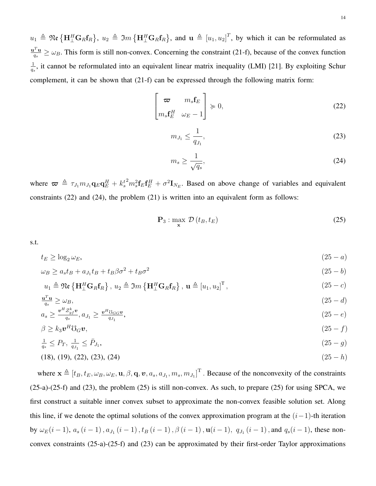$u_1 \triangleq \mathfrak{Re} \left\{ \mathbf{H}_{\perp}^H \mathbf{G}_R \mathbf{f}_R \right\}$ ,  $u_2 \triangleq \mathfrak{Im} \left\{ \mathbf{H}_{\perp}^H \mathbf{G}_R \mathbf{f}_R \right\}$ , and  $\mathbf{u} \triangleq [u_1, u_2]^T$ , by which it can be reformulated as  $\mathbf{u}^T \mathbf{u}$  $\frac{d^2 \mathbf{u}}{q_s} \geq \omega_B$ . This form is still non-convex. Concerning the constraint (21-f), because of the convex function 1  $\frac{1}{q_s}$ , it cannot be reformulated into an equivalent linear matrix inequality (LMI) [\[21\]](#page-30-6). By exploiting Schur complement, it can be shown that (21-f) can be expressed through the following matrix form:

$$
\begin{bmatrix} \boldsymbol{\varpi} & m_s \mathbf{f}_E \\ m_s \mathbf{f}_E^H & \omega_E - 1 \end{bmatrix} \succcurlyeq 0,
$$
\n(22)

$$
m_{J_1} \le \frac{1}{q_{J_1}},\tag{23}
$$

$$
m_s \ge \frac{1}{\sqrt{q_s}},\tag{24}
$$

where  $\boldsymbol{\varpi} \triangleq \tau_{J_1} m_{J_1} \mathbf{q}_E \mathbf{q}_E^H + k_s^t$  $^{2}m_{s}^{2}\mathbf{f}_{E}\mathbf{f}_{E}^{H} + \sigma^{2}\mathbf{I}_{N_{E}}$ . Based on above change of variables and equivalent constraints (22) and (24), the problem (21) is written into an equivalent form as follows:

$$
\mathbf{P}_3: \max_{\mathbf{x}} \mathcal{D}\left(t_B, t_E\right) \tag{25}
$$

s.t.

$$
t_E \ge \log_2 \omega_E,\tag{25-a}
$$

$$
\omega_B \ge a_s t_B + a_{J_1} t_B + t_B \beta \sigma^2 + t_B \sigma^2 \tag{25-b}
$$

$$
u_1 \triangleq \mathfrak{Re}\left\{ \mathbf{H}_{\perp}^H \mathbf{G}_R \mathbf{f}_R \right\}, u_2 \triangleq \mathfrak{Im}\left\{ \mathbf{H}_{\perp}^H \mathbf{G}_R \mathbf{f}_R \right\}, \mathbf{u} \triangleq [u_1, u_2]^T, \tag{25- c}
$$

$$
\frac{\mathbf{u}^T \mathbf{u}}{q_s} \ge \omega_B,\tag{25-d}
$$

$$
a_s \ge \frac{v^H \mathcal{Z}_{gt}^k v}{q_s}, a_{J_1} \ge \frac{v^H \mathcal{U}_{GG} v}{q_{J_1}},\tag{25-e}
$$

$$
\beta \ge k_3 \boldsymbol{v}^H \mathbf{C}_G \boldsymbol{v},\tag{25- f}
$$

$$
\frac{1}{q_s} \le P_T, \ \frac{1}{q_{J_1}} \le \bar{P}_{J_1},\tag{25-9}
$$

$$
(18), (19), (22), (23), (24) \tag{25-h}
$$

where  $\mathbf{x} \triangleq [t_B, t_E, \omega_B, \omega_E, \mathbf{u}, \beta, \mathbf{q}, \mathbf{v}, a_s, a_{J_1}, m_s, m_{J_1}]^T$ . Because of the nonconvexity of the constraints (25-a)-(25-f) and (23), the problem (25) is still non-convex. As such, to prepare (25) for using SPCA, we first construct a suitable inner convex subset to approximate the non-convex feasible solution set. Along this line, if we denote the optimal solutions of the convex approximation program at the  $(i-1)$ -th iteration by  $\omega_E(i-1)$ ,  $a_s(i-1)$ ,  $a_{J_1}(i-1)$ ,  $t_B(i-1)$ ,  $\beta(i-1)$ ,  $\mathbf{u}(i-1)$ ,  $q_{J_1}(i-1)$ , and  $q_s(i-1)$ , these nonconvex constraints (25-a)-(25-f) and (23) can be approximated by their first-order Taylor approximations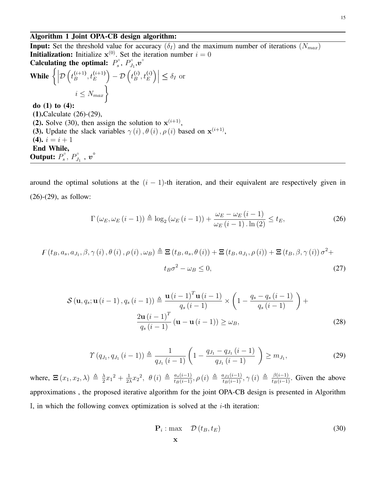### Algorithm 1 Joint OPA-CB design algorithm:

**Input:** Set the threshold value for accuracy  $(\delta_I)$  and the maximum number of iterations  $(N_{max})$ **Initialization:** Initialize  $x^{(0)}$ . Set the iteration number  $i = 0$ Calculating the optimal:  $P_s^{\circ}$  $P_J^\circ$ ,  $P_J^\circ$  $\stackrel{\circ}{J_1},\stackrel{\circ}{v}^\circ$ While  $\Big\{\Big\vert$  $\mathcal{D}\left(t_B^{(i+1)}\right)$  $\left(t+1\atop B\right), t_E^{(i+1)}\Big) - \mathcal{D}\left(t_B^{(i)}\right)$  $\begin{vmatrix} (i) & (j) \\ B & E \end{vmatrix} \leq \delta_I$  or  $i \leq N_{max}$ do (1) to (4): (1).Calculate (26)-(29), (2). Solve (30), then assign the solution to  $x^{(i+1)}$ , (3). Update the slack variables  $\gamma(i)$ ,  $\theta(i)$ ,  $\rho(i)$  based on  $\mathbf{x}^{(i+1)}$ , (4).  $i = i + 1$ End While, Output:  $P_s^{\circ}$  ${\overline P}_s^\circ,\,{\overline P}_{J_1}^\circ$  ,  ${\overline{\boldsymbol v}}^\circ$ 

around the optimal solutions at the  $(i - 1)$ -th iteration, and their equivalent are respectively given in (26)-(29), as follow:

$$
\Gamma\left(\omega_E, \omega_E\left(i-1\right)\right) \triangleq \log_2\left(\omega_E\left(i-1\right)\right) + \frac{\omega_E - \omega_E\left(i-1\right)}{\omega_E\left(i-1\right) \cdot \ln\left(2\right)} \le t_E,\tag{26}
$$

$$
F(t_B, a_s, a_{J_1}, \beta, \gamma(i), \theta(i), \rho(i), \omega_B) \triangleq \mathbf{\Xi}\left(t_B, a_s, \theta(i)\right) + \mathbf{\Xi}\left(t_B, a_{J_1}, \rho(i)\right) + \mathbf{\Xi}\left(t_B, \beta, \gamma(i)\right)\sigma^2 + \n t_B\sigma^2 - \omega_B \le 0,
$$
\n(27)

$$
\mathcal{S}\left(\mathbf{u}, q_s; \mathbf{u}\left(i-1\right), q_s\left(i-1\right)\right) \triangleq \frac{\mathbf{u}\left(i-1\right)^T \mathbf{u}\left(i-1\right)}{q_s\left(i-1\right)} \times \left(1 - \frac{q_s - q_s\left(i-1\right)}{q_s\left(i-1\right)}\right) + \frac{2\mathbf{u}\left(i-1\right)^T}{q_s\left(i-1\right)}\left(\mathbf{u} - \mathbf{u}\left(i-1\right)\right) \geq \omega_B,
$$
\n(28)

$$
\Upsilon(q_{J_1}, q_{J_1} (i-1)) \triangleq \frac{1}{q_{J_1} (i-1)} \left( 1 - \frac{q_{J_1} - q_{J_1} (i-1)}{q_{J_1} (i-1)} \right) \ge m_{J_1},\tag{29}
$$

where,  $\Xi(x_1, x_2, \lambda) \triangleq \frac{\lambda}{2}$  $\frac{\lambda}{2}x_1^2 + \frac{1}{2\lambda}$  $\frac{1}{2\lambda}x_2^2$ ,  $\theta(i) \triangleq \frac{a_s(i-1)}{t_B(i-1)}, \rho(i) \triangleq \frac{a_{J1}(i-1)}{t_B(i-1)}, \gamma(i) \triangleq \frac{\beta(i-1)}{t_B(i-1)}.$  Given the above approximations , the proposed iterative algorithm for the joint OPA-CB design is presented in Algorithm I, in which the following convex optimization is solved at the  $i$ -th iteration:

$$
\mathbf{P}_{i}: \max \quad \mathcal{D}(t_{B}, t_{E}) \tag{30}
$$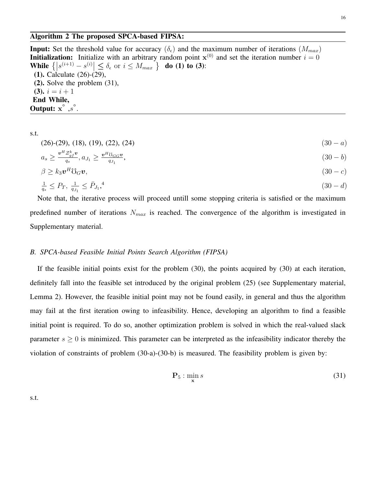## Algorithm 2 The proposed SPCA-based FIPSA:

**Input:** Set the threshold value for accuracy  $(\delta_{\epsilon})$  and the maximum number of iterations  $(M_{max})$ **Initialization:** Initialize with an arbitrary random point  $x^{(0)}$  and set the iteration number  $i = 0$ While  $\{|s^{(i+1)} - s^{(i)}| \leq \delta_{\epsilon} \text{ or } i \leq M_{max} \}$  do (1) to (3): (1). Calculate (26)-(29), (2). Solve the problem (31),  $(3)$ .  $i = i + 1$ End While, Output:  $x^{\circ}$ ,  $s^{\circ}$ .

s.t.

# $(26)-(29), (18), (19), (22), (24)$  (30 − a)

$$
a_s \ge \frac{v^H \mathcal{Z}_{gf}^k v}{q_s}, a_{J_1} \ge \frac{v^H \mathcal{U}_{GG} v}{q_{J_1}},\tag{30-b}
$$

$$
\beta \geq k_3 \boldsymbol{v}^H \mathbf{C}_G \boldsymbol{v},\tag{30-c}
$$

$$
\frac{1}{q_s} \le P_T, \ \frac{1}{q_{J_1}} \le \bar{P}_{J_1},^4 \tag{30-d}
$$

Note that, the iterative process will proceed untill some stopping criteria is satisfied or the maximum predefined number of iterations  $N_{max}$  is reached. The convergence of the algorithm is investigated in Supplementary material.

### *B. SPCA-based Feasible Initial Points Search Algorithm (FIPSA)*

If the feasible initial points exist for the problem (30), the points acquired by (30) at each iteration, definitely fall into the feasible set introduced by the original problem (25) (see Supplementary material, Lemma 2). However, the feasible initial point may not be found easily, in general and thus the algorithm may fail at the first iteration owing to infeasibility. Hence, developing an algorithm to find a feasible initial point is required. To do so, another optimization problem is solved in which the real-valued slack parameter  $s \geq 0$  is minimized. This parameter can be interpreted as the infeasibility indicator thereby the violation of constraints of problem (30-a)-(30-b) is measured. The feasibility problem is given by:

$$
\mathbf{P}_5: \min_{\mathbf{x}} s \tag{31}
$$

s.t.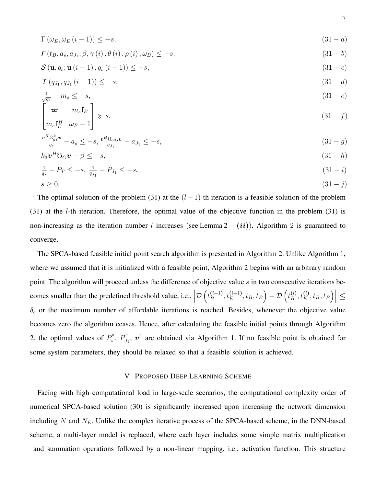$$
\Gamma\left(\omega_E, \omega_E\left(i-1\right)\right) \le -s,\tag{31-a}
$$

$$
F(t_B, a_s, a_{J_1}, \beta, \gamma(i), \theta(i), \rho(i), \omega_B) \le -s,
$$
\n(31 - b)

$$
\mathcal{S}\left(\mathbf{u}, q_s; \mathbf{u}\left(i-1\right), q_s\left(i-1\right)\right) \le -s,\tag{31-c}
$$

$$
\Upsilon(q_{J_1}, q_{J_1} (i-1)) \le -s,\tag{31-d}
$$

$$
\frac{1}{\sqrt{q_s}} - m_s \le -s,\tag{31-e}
$$

$$
\begin{bmatrix} \boldsymbol{\varpi} & m_s \mathbf{f}_E \\ m_s \mathbf{f}_E^H & \omega_E - 1 \end{bmatrix} \succcurlyeq s,
$$
\n(31 - f)

$$
\frac{v^H \mathcal{Z}_{gf}^k v}{q_s} - a_s \le -s, \frac{v^H \mathcal{U}_{GG} v}{q_{J_1}} - a_{J_1} \le -s,\tag{31- $g$ )
$$

$$
k_3 \mathbf{v}^H \mathbf{C}_G \mathbf{v} - \beta \le -s,\tag{31-h}
$$

$$
\frac{1}{q_s} - P_T \le -s, \ \frac{1}{q_{J_1}} - \bar{P}_{J_1} \le -s,\tag{31-1}
$$
\n
$$
s \ge 0,\tag{31-1}
$$

The optimal solution of the problem (31) at the  $(l-1)$ -th iteration is a feasible solution of the problem (31) at the l-th iteration. Therefore, the optimal value of the objective function in the problem (31) is non-increasing as the iteration number l increases (see Lemma  $2 - (ii)$ ). Algorithm 2 is guaranteed to converge.

The SPCA-based feasible initial point search algorithm is presented in Algorithm 2. Unlike Algorithm 1, where we assumed that it is initialized with a feasible point, Algorithm 2 begins with an arbitrary random point. The algorithm will proceed unless the difference of objective value s in two consecutive iterations becomes smaller than the predefined threshold value, i.e.,  $\Big|$  $\mathcal{D}\left(t_B^{(i+1)}\right)$  $\left(t^{i+1}\right), t^{(i+1)}_E, t_B, t_E\Big) - \mathcal{D}\left(t^{(i)}_B\right)$  $\left| \binom{i}{B}, t_E^{(i)}, t_B, t_E \right| \leq$  $\delta_{\epsilon}$  or the maximum number of affordable iterations is reached. Besides, whenever the objective value becomes zero the algorithm ceases. Hence, after calculating the feasible initial points through Algorithm 2, the optimal values of  $P_s^{\circ}$  $P_J^{\circ}$ ,  $P_J^{\circ}$  $J_1$ ,  $\mathbf{v}^{\circ}$  are obtained via Algorithm 1. If no feasible point is obtained for some system parameters, they should be relaxed so that a feasible solution is achieved.

# V. PROPOSED DEEP LEARNING SCHEME

Facing with high computational load in large-scale scenarios, the computational complexity order of numerical SPCA-based solution (30) is significantly increased upon increasing the network dimension including  $N$  and  $N_E$ . Unlike the complex iterative process of the SPCA-based scheme, in the DNN-based scheme, a multi-layer model is replaced, where each layer includes some simple matrix multiplication and summation operations followed by a non-linear mapping, i.e., activation function. This structure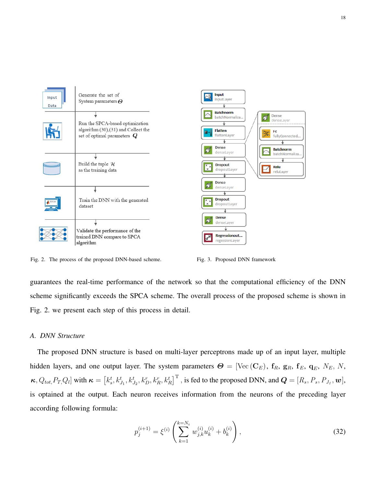

Fig. 2. The process of the proposed DNN-based scheme. Fig. 3. Proposed DNN framework

guarantees the real-time performance of the network so that the computational efficiency of the DNN scheme significantly exceeds the SPCA scheme. The overall process of the proposed scheme is shown in Fig. 2. we present each step of this process in detail.

# *A. DNN Structure*

The proposed DNN structure is based on multi-layer perceptrons made up of an input layer, multiple hidden layers, and one output layer. The system parameters Θ = [Vec (CE), fR, gR, fE, qE, NE, N,  $\kappa$ ,  $Q_{tot}$ ,  $P_T$ ,  $Q_l$  with  $\kappa = \left[ k_s^t, k_{J_1}^t, k_{J_2}^t, k_D^r, k_R^r, k_R^t \right]^{\text{T}}$ , is fed to the proposed DNN, and  $\mathbf{Q} = [R_s, P_s, P_{J_1}, \mathbf{w}]$ , is optained at the output. Each neuron receives information from the neurons of the preceding layer according following formula:

$$
p_j^{(i+1)} = \xi^{(i)} \left( \sum_{k=1}^{k=N_i} w_{j,k}^{(i)} u_k^{(i)} + b_k^{(i)} \right),\tag{32}
$$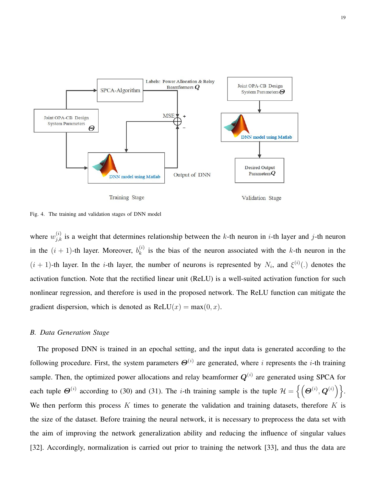

Fig. 4. The training and validation stages of DNN model

where  $w_{j,k}^{(i)}$  is a weight that determines relationship between the k-th neuron in *i*-th layer and *j*-th neuron in the  $(i + 1)$ -th layer. Moreover,  $b_k^{(i)}$  $\kappa^{(i)}$  is the bias of the neuron associated with the k-th neuron in the  $(i + 1)$ -th layer. In the *i*-th layer, the number of neurons is represented by  $N_i$ , and  $\xi^{(i)}(.)$  denotes the activation function. Note that the rectified linear unit (ReLU) is a well-suited activation function for such nonlinear regression, and therefore is used in the proposed network. The ReLU function can mitigate the gradient dispersion, which is denoted as  $ReLU(x) = max(0, x)$ .

#### *B. Data Generation Stage*

The proposed DNN is trained in an epochal setting, and the input data is generated according to the following procedure. First, the system parameters  $\Theta^{(i)}$  are generated, where i represents the i-th training sample. Then, the optimized power allocations and relay beamformer  $Q^{(i)}$  are generated using SPCA for each tuple  $\Theta^{(i)}$  according to (30) and (31). The *i*-th training sample is the tuple  $\mathcal{H} = \{ (\Theta^{(i)}, \mathbf{Q}^{(i)}) \}.$ We then perform this process K times to generate the validation and training datasets, therefore K is the size of the dataset. Before training the neural network, it is necessary to preprocess the data set with the aim of improving the network generalization ability and reducing the influence of singular values [\[32\]](#page-30-7). Accordingly, normalization is carried out prior to training the network [\[33\]](#page-30-8), and thus the data are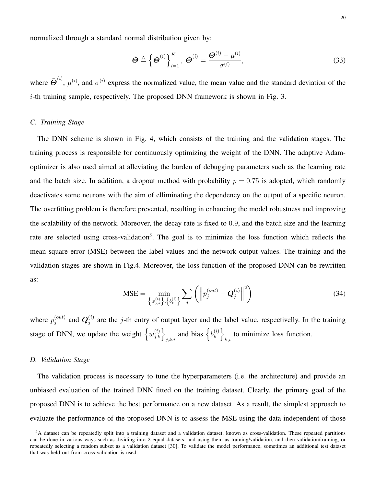normalized through a standard normal distribution given by:

$$
\tilde{\boldsymbol{\Theta}} \triangleq \left\{ \tilde{\boldsymbol{\Theta}}^{(i)} \right\}_{i=1}^{K}, \ \tilde{\boldsymbol{\Theta}}^{(i)} = \frac{\boldsymbol{\Theta}^{(i)} - \mu^{(i)}}{\sigma^{(i)}}, \tag{33}
$$

where  $\tilde{\Theta}^{(i)}$ ,  $\mu^{(i)}$ , and  $\sigma^{(i)}$  express the normalized value, the mean value and the standard deviation of the i-th training sample, respectively. The proposed DNN framework is shown in Fig. 3.

# *C. Training Stage*

The DNN scheme is shown in Fig. 4, which consists of the training and the validation stages. The training process is responsible for continuously optimizing the weight of the DNN. The adaptive Adamoptimizer is also used aimed at alleviating the burden of debugging parameters such as the learning rate and the batch size. In addition, a dropout method with probability  $p = 0.75$  is adopted, which randomly deactivates some neurons with the aim of elliminating the dependency on the output of a specific neuron. The overfitting problem is therefore prevented, resulting in enhancing the model robustness and improving the scalability of the network. Moreover, the decay rate is fixed to 0.9, and the batch size and the learning rate are selected using cross-validation<sup>[5](#page-19-0)</sup>. The goal is to minimize the loss function which reflects the mean square error (MSE) between the label values and the network output values. The training and the validation stages are shown in Fig.4. Moreover, the loss function of the proposed DNN can be rewritten as:

$$
\text{MSE} = \min_{\{w_{j,k}^{(i)}\}, \{b_k^{(i)}\}} \sum_j \left( \left\| p_j^{(out)} - \mathbf{Q}_j^{(i)} \right\|^2 \right) \tag{34}
$$

where  $p_i^{(out)}$  $\mathbf{q}_{j}^{(out)}$  and  $\mathbf{Q}_{j}^{(i)}$  $j^{(i)}$  are the j-th entry of output layer and the label value, respectivelly. In the training stage of DNN, we update the weight  $\left\{w_{j,k}^{(i)}\right\}_{j,k,i}$  and bias  $\left\{b_k^{(i)}\right\}_{k}$  $\begin{pmatrix} i \\ k \end{pmatrix}$ to minimize loss function.

### *D. Validation Stage*

The validation process is necessary to tune the hyperparameters (i.e. the architecture) and provide an unbiased evaluation of the trained DNN fitted on the training dataset. Clearly, the primary goal of the proposed DNN is to achieve the best performance on a new dataset. As a result, the simplest approach to evaluate the performance of the proposed DNN is to assess the MSE using the data independent of those

<span id="page-19-0"></span> ${}^{5}$ A dataset can be repeatedly split into a training dataset and a validation dataset, known as cross-validation. These repeated partitions can be done in various ways such as dividing into 2 equal datasets, and using them as training/validation, and then validation/training, or repeatedly selecting a random subset as a validation dataset [\[30\]](#page-30-9). To validate the model performance, sometimes an additional test dataset that was held out from cross-validation is used.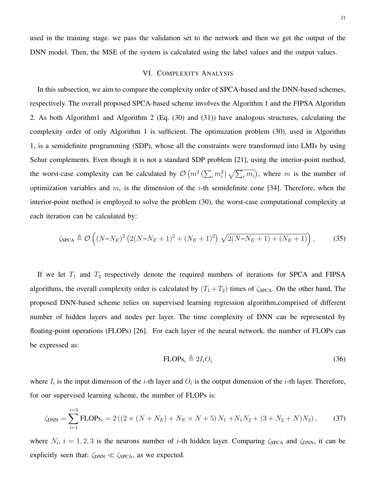used in the training stage. we pass the validation set to the network and then we get the output of the DNN model. Then, the MSE of the system is calculated using the label values and the output values.

#### VI. COMPLEXITY ANALYSIS

In this subsection, we aim to compare the complexity order of SPCA-based and the DNN-based schemes, respectively. The overall proposed SPCA-based scheme involves the Algorithm 1 and the FIPSA Algorithm 2. As both Algorithm1 and Algorithm 2 (Eq. (30) and (31)) have analogous structures, calculating the complexity order of only Algorithm 1 is sufficient. The optimization problem (30), used in Algorithm 1, is a semidefinite programming (SDP), whose all the constraints were transformed into LMIs by using Schur complements. Even though it is not a standard SDP problem [\[21\]](#page-30-6), using the interior-point method, the worst-case complexity can be calculated by  $\mathcal{O}(m^2(\sum_i m_i^2)\sqrt{\sum_i m_i})$ , where m is the number of optimization variables and  $m_i$  is the dimension of the *i*-th semidefinite cone [\[34\]](#page-30-10). Therefore, when the interior-point method is employed to solve the problem (30), the worst-case computational complexity at each iteration can be calculated by:

$$
\zeta_{\text{SPCA}} \triangleq \mathcal{O}\left( (N - N_E)^2 \left( 2(N - N_E + 1)^2 + (N_E + 1)^2 \right) \sqrt{2(N - N_E + 1) + (N_E + 1)} \right),\tag{35}
$$

If we let  $T_1$  and  $T_2$  respectively denote the required numbers of iterations for SPCA and FIPSA algorithms, the overall complexity order is calculated by  $(T_1 + T_2)$  times of  $\zeta_{SPCA}$ . On the other hand, The proposed DNN-based scheme relies on supervised learning regression algorithm,comprised of different number of hidden layers and nodes per layer. The time complexity of DNN can be represented by floating-point operations (FLOPs) [\[26\]](#page-30-1). For each layer of the neural network, the number of FLOPs can be expressed as:

$$
\text{FLOPs}_i \triangleq 2I_iO_i \tag{36}
$$

where  $I_i$  is the input dimension of the *i*-th layer and  $O_i$  is the output dimension of the *i*-th layer. Therefore, for our supervised learning scheme, the number of FLOPs is:

$$
\zeta_{\text{DNN}} = \sum_{i=1}^{i=3} \text{FLOPs}_i = 2\left( \left( 2 \times (N + N_E) + N_E \times N + 5 \right) N_1 + N_1 N_2 + (3 + N_2 + N) N_3 \right),\tag{37}
$$

where  $N_i$ ,  $i = 1, 2, 3$  is the neurons number of *i*-th hidden layer. Comparing  $\zeta_{SPCA}$  and  $\zeta_{DNN}$ , it can be explicitly seen that:  $\zeta_{DNN} \ll \zeta_{SPCA}$ , as we expected.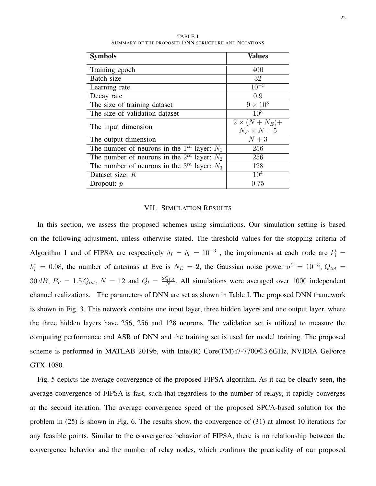| <b>Symbols</b>                                     | <b>Values</b>        |
|----------------------------------------------------|----------------------|
| Training epoch                                     | 400                  |
| Batch size                                         | 32                   |
| Learning rate                                      | $\overline{10^{-3}}$ |
| Decay rate                                         | 0.9                  |
| The size of training dataset                       | $9 \times 10^3$      |
| The size of validation dataset                     | $10^{3}$             |
| The input dimension                                | $2 \times (N+N_E)+$  |
|                                                    | $N_E \times N + 5$   |
| The output dimension                               | $N+3$                |
| The number of neurons in the $1^{th}$ layer: $N_1$ | 256                  |
| The number of neurons in the $2^{th}$ layer: $N_2$ | 256                  |
| The number of neurons in the $3^{th}$ layer: $N_3$ | 128                  |
| Dataset size: K                                    | 10 <sup>4</sup>      |
| Dropout: $p$                                       | 0.75                 |

TABLE I SUMMARY OF THE PROPOSED DNN STRUCTURE AND NOTATIONS

#### VII. SIMULATION RESULTS

In this section, we assess the proposed schemes using simulations. Our simulation setting is based on the following adjustment, unless otherwise stated. The threshold values for the stopping criteria of Algorithm 1 and of FIPSA are respectively  $\delta_I = \delta_{\epsilon} = 10^{-3}$ , the impairments at each node are  $k_i^t$  =  $k_i^r = 0.08$ , the number of antennas at Eve is  $N_E = 2$ , the Gaussian noise power  $\sigma^2 = 10^{-3}$ ,  $Q_{tot} =$  $30 \, dB$ ,  $P_T = 1.5 Q_{tot}$ ,  $N = 12$  and  $Q_l = \frac{2Q_{tot}}{N}$  $\frac{Q_{tot}}{N}$ . All simulations were averaged over 1000 independent channel realizations. The parameters of DNN are set as shown in Table I. The proposed DNN framework is shown in Fig. 3. This network contains one input layer, three hidden layers and one output layer, where the three hidden layers have 256, 256 and 128 neurons. The validation set is utilized to measure the computing performance and ASR of DNN and the training set is used for model training. The proposed scheme is performed in MATLAB 2019b, with Intel(R) Core(TM) i7-7700@3.6GHz, NVIDIA GeForce GTX 1080.

Fig. 5 depicts the average convergence of the proposed FIPSA algorithm. As it can be clearly seen, the average convergence of FIPSA is fast, such that regardless to the number of relays, it rapidly converges at the second iteration. The average convergence speed of the proposed SPCA-based solution for the problem in (25) is shown in Fig. 6. The results show. the convergence of (31) at almost 10 iterations for any feasible points. Similar to the convergence behavior of FIPSA, there is no relationship between the convergence behavior and the number of relay nodes, which confirms the practicality of our proposed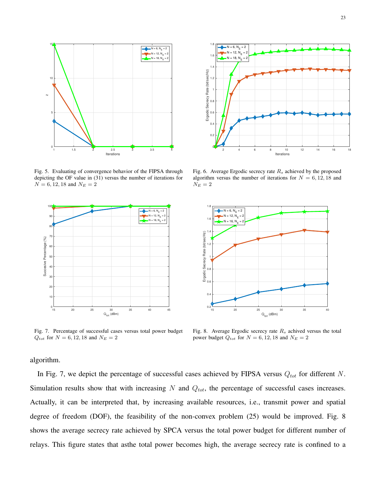

Fig. 5. Evaluating of convergence behavior of the FIPSA through depicting the OF value in (31) versus the number of iterations for  $N = 6, 12, 18$  and  $N_E = 2$ 



Fig. 7. Percentage of successful cases versus total power budget  $Q_{tot}$  for  $N = 6, 12, 18$  and  $N_E = 2$ 



Fig. 6. Average Ergodic secrecy rate  $R_s$  achieved by the proposed algorithm versus the number of iterations for  $N = 6, 12, 18$  and  $N_E=2$ 



Fig. 8. Average Ergodic secrecy rate  $R_s$  achived versus the total power budget  $Q_{tot}$  for  $N = 6, 12, 18$  and  $N_E = 2$ 

algorithm.

In Fig. 7, we depict the percentage of successful cases achieved by FIPSA versus  $Q_{tot}$  for different N. Simulation results show that with increasing  $N$  and  $Q_{tot}$ , the percentage of successful cases increases. Actually, it can be interpreted that, by increasing available resources, i.e., transmit power and spatial degree of freedom (DOF), the feasibility of the non-convex problem (25) would be improved. Fig. 8 shows the average secrecy rate achieved by SPCA versus the total power budget for different number of relays. This figure states that asthe total power becomes high, the average secrecy rate is confined to a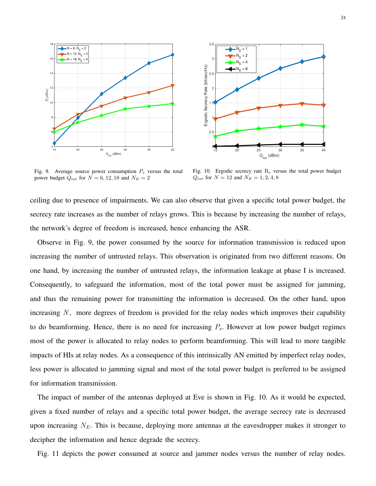



Fig. 9. Average source power consumption  $P_s$  versus the total power budget  $Q_{tot}$  for  $N = 6, 12, 18$  and  $N_E = 2$ 

Fig. 10. Ergodic secrecy rate  $R_s$  versus the total power budget  $Q_{tot}$  for  $N = 12$  and  $N_E = 1, 2, 4, 8$ 

ceiling due to presence of impairments. We can also observe that given a specific total power budget, the secrecy rate increases as the number of relays grows. This is because by increasing the number of relays, the network's degree of freedom is increased, hence enhancing the ASR.

Observe in Fig. 9, the power consumed by the source for information transmission is reduced upon increasing the number of untrusted relays. This observation is originated from two different reasons. On one hand, by increasing the number of untrusted relays, the information leakage at phase I is increased. Consequently, to safeguard the information, most of the total power must be assigned for jamming, and thus the remaining power for transmitting the information is decreased. On the other hand, upon increasing  $N$ , more degrees of freedom is provided for the relay nodes which improves their capability to do beamforming. Hence, there is no need for increasing  $P_s$ . However at low power budget regimes most of the power is allocated to relay nodes to perform beamforming. This will lead to more tangible impacts of HIs at relay nodes. As a consequence of this intrinsically AN emitted by imperfect relay nodes, less power is allocated to jamming signal and most of the total power budget is preferred to be assigned for information transmission.

The impact of number of the antennas deployed at Eve is shown in Fig. 10. As it would be expected, given a fixed number of relays and a specific total power budget, the average secrecy rate is decreased upon increasing  $N_E$ . This is because, deploying more antennas at the eavesdropper makes it stronger to decipher the information and hence degrade the secrecy.

Fig. 11 depicts the power consumed at source and jammer nodes versus the number of relay nodes.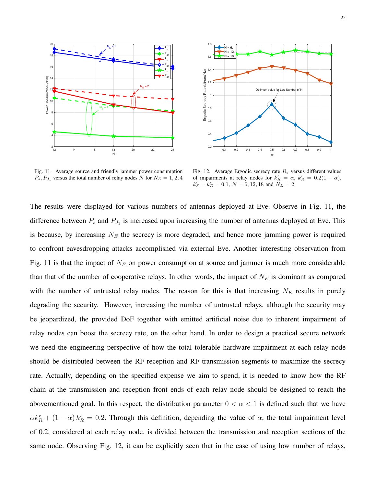



Fig. 11. Average source and friendly jammer power consumption  $P_s$ ,  $P_{J_1}$  versus the total number of relay nodes N for  $N_E = 1, 2, 4$ 

Fig. 12. Average Ergodic secrecy rate  $R_s$  versus different values of impairments at relay nodes for  $k_R^t = \alpha$ ,  $k_R^r = 0.2(1 - \alpha)$ ,  $k_S^t = k_D^r = 0.1, N = 6, 12, 18$  and  $N_E = 2$ 

The results were displayed for various numbers of antennas deployed at Eve. Observe in Fig. 11, the difference between  $P_s$  and  $P_{J_1}$  is increased upon increasing the number of antennas deployed at Eve. This is because, by increasing  $N_E$  the secrecy is more degraded, and hence more jamming power is required to confront eavesdropping attacks accomplished via external Eve. Another interesting observation from Fig. 11 is that the impact of  $N_E$  on power consumption at source and jammer is much more considerable than that of the number of cooperative relays. In other words, the impact of  $N_E$  is dominant as compared with the number of untrusted relay nodes. The reason for this is that increasing  $N_E$  results in purely degrading the security. However, increasing the number of untrusted relays, although the security may be jeopardized, the provided DoF together with emitted artificial noise due to inherent impairment of relay nodes can boost the secrecy rate, on the other hand. In order to design a practical secure network we need the engineering perspective of how the total tolerable hardware impairment at each relay node should be distributed between the RF reception and RF transmission segments to maximize the secrecy rate. Actually, depending on the specified expense we aim to spend, it is needed to know how the RF chain at the transmission and reception front ends of each relay node should be designed to reach the abovementioned goal. In this respect, the distribution parameter  $0 < \alpha < 1$  is defined such that we have  $\alpha k_R^r + (1 - \alpha) k_R^t = 0.2$ . Through this definition, depending the value of  $\alpha$ , the total impairment level of 0.2, considered at each relay node, is divided between the transmission and reception sections of the same node. Observing Fig. 12, it can be explicitly seen that in the case of using low number of relays,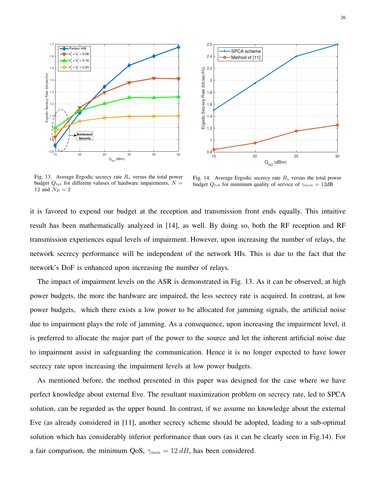



Fig. 13. Average Ergodic secrecy rate  $R<sub>s</sub>$  versus the total power budget  $Q_{tot}$  for different valuses of hardware impairments,  $N =$ 12 and  $N_E = 2$ 

Fig. 14. Average Ergodic secrecy rate  $R_s$  versus the total power budget  $Q_{tot}$  for minimum quality of service of  $\gamma_{min} = 12$ dB

it is favored to expend our budget at the reception and transmission front ends equally. This intuitive result has been mathematically analyzed in [\[14\]](#page-29-1), as well. By doing so, both the RF reception and RF transmission experiences equal levels of impairment. However, upon increasing the number of relays, the network secrecy performance will be independent of the network HIs. This is due to the fact that the network's DoF is enhanced upon increasing the number of relays.

The impact of impairment levels on the ASR is demonstrated in Fig. 13. As it can be observed, at high power budgets, the more the hardware are impaired, the less secrecy rate is acquired. In contrast, at low power budgets, which there exists a low power to be allocated for jamming signals, the artificial noise due to impairment plays the role of jamming. As a consequence, upon increasing the impairment level, it is preferred to allocate the major part of the power to the source and let the inherent artificial noise due to impairment assist in safeguarding the communication. Hence it is no longer expected to have lower secrecy rate upon increasing the impairment levels at low power budgets.

As mentioned before, the method presented in this paper was designed for the case where we have perfect knowledge about external Eve. The resultant maximization problem on secrecy rate, led to SPCA solution, can be regarded as the upper bound. In contrast, if we assume no knowledge about the external Eve (as already considered in [\[11\]](#page-29-3), another secrecy scheme should be adopted, leading to a sub-optimal solution which has considerably inferior performance than ours (as it can be clearly seen in Fig.14). For a fair comparison, the minimum QoS,  $\gamma_{min} = 12 \, dB$ , has been considered.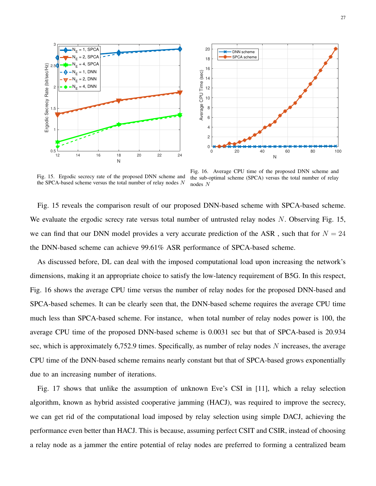



Fig. 15. Ergodic secrecy rate of the proposed DNN scheme and the SPCA-based scheme versus the total number of relay nodes  $N$ 

Fig. 16. Average CPU time of the proposed DNN scheme and the sub-optimal scheme (SPCA) versus the total number of relay nodes N

Fig. 15 reveals the comparison result of our proposed DNN-based scheme with SPCA-based scheme. We evaluate the ergodic screcy rate versus total number of untrusted relay nodes  $N$ . Observing Fig. 15, we can find that our DNN model provides a very accurate prediction of the ASR, such that for  $N = 24$ the DNN-based scheme can achieve 99.61% ASR performance of SPCA-based scheme.

As discussed before, DL can deal with the imposed computational load upon increasing the network's dimensions, making it an appropriate choice to satisfy the low-latency requirement of B5G. In this respect, Fig. 16 shows the average CPU time versus the number of relay nodes for the proposed DNN-based and SPCA-based schemes. It can be clearly seen that, the DNN-based scheme requires the average CPU time much less than SPCA-based scheme. For instance, when total number of relay nodes power is 100, the average CPU time of the proposed DNN-based scheme is 0.0031 sec but that of SPCA-based is 20.934 sec, which is approximately 6,752.9 times. Specifically, as number of relay nodes N increases, the average CPU time of the DNN-based scheme remains nearly constant but that of SPCA-based grows exponentially due to an increasing number of iterations.

Fig. 17 shows that unlike the assumption of unknown Eve's CSI in [\[11\]](#page-29-3), which a relay selection algorithm, known as hybrid assisted cooperative jamming (HACJ), was required to improve the secrecy, we can get rid of the computational load imposed by relay selection using simple DACJ, achieving the performance even better than HACJ. This is because, assuming perfect CSIT and CSIR, instead of choosing a relay node as a jammer the entire potential of relay nodes are preferred to forming a centralized beam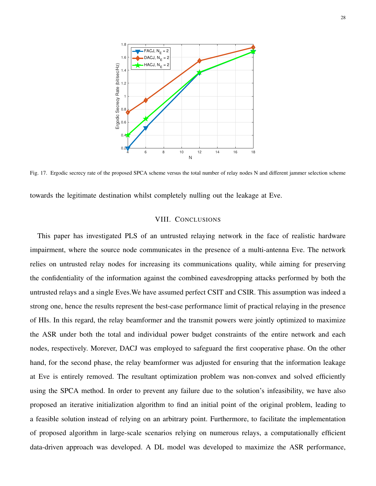

Fig. 17. Ergodic secrecy rate of the proposed SPCA scheme versus the total number of relay nodes N and different jammer selection scheme

towards the legitimate destination whilst completely nulling out the leakage at Eve.

# VIII. CONCLUSIONS

This paper has investigated PLS of an untrusted relaying network in the face of realistic hardware impairment, where the source node communicates in the presence of a multi-antenna Eve. The network relies on untrusted relay nodes for increasing its communications quality, while aiming for preserving the confidentiality of the information against the combined eavesdropping attacks performed by both the untrusted relays and a single Eves.We have assumed perfect CSIT and CSIR. This assumption was indeed a strong one, hence the results represent the best-case performance limit of practical relaying in the presence of HIs. In this regard, the relay beamformer and the transmit powers were jointly optimized to maximize the ASR under both the total and individual power budget constraints of the entire network and each nodes, respectively. Morever, DACJ was employed to safeguard the first cooperative phase. On the other hand, for the second phase, the relay beamformer was adjusted for ensuring that the information leakage at Eve is entirely removed. The resultant optimization problem was non-convex and solved efficiently using the SPCA method. In order to prevent any failure due to the solution's infeasibility, we have also proposed an iterative initialization algorithm to find an initial point of the original problem, leading to a feasible solution instead of relying on an arbitrary point. Furthermore, to facilitate the implementation of proposed algorithm in large-scale scenarios relying on numerous relays, a computationally efficient data-driven approach was developed. A DL model was developed to maximize the ASR performance,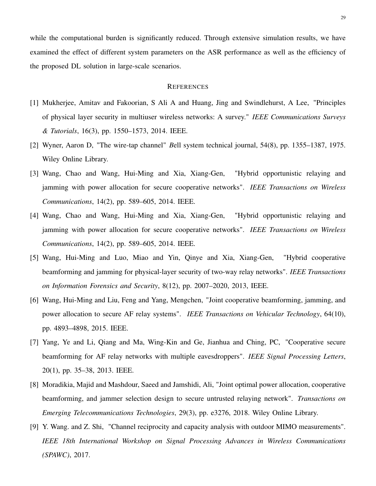while the computational burden is significantly reduced. Through extensive simulation results, we have examined the effect of different system parameters on the ASR performance as well as the efficiency of the proposed DL solution in large-scale scenarios.

#### **REFERENCES**

- <span id="page-28-0"></span>[1] Mukherjee, Amitav and Fakoorian, S Ali A and Huang, Jing and Swindlehurst, A Lee, "Principles of physical layer security in multiuser wireless networks: A survey." *IEEE Communications Surveys & Tutorials*, 16(3), pp. 1550–1573, 2014. IEEE.
- <span id="page-28-1"></span>[2] Wyner, Aaron D, "The wire-tap channel" *B*ell system technical journal, 54(8), pp. 1355–1387, 1975. Wiley Online Library.
- <span id="page-28-2"></span>[3] Wang, Chao and Wang, Hui-Ming and Xia, Xiang-Gen, "Hybrid opportunistic relaying and jamming with power allocation for secure cooperative networks". *IEEE Transactions on Wireless Communications*, 14(2), pp. 589–605, 2014. IEEE.
- [4] Wang, Chao and Wang, Hui-Ming and Xia, Xiang-Gen, "Hybrid opportunistic relaying and jamming with power allocation for secure cooperative networks". *IEEE Transactions on Wireless Communications*, 14(2), pp. 589–605, 2014. IEEE.
- <span id="page-28-6"></span>[5] Wang, Hui-Ming and Luo, Miao and Yin, Qinye and Xia, Xiang-Gen, "Hybrid cooperative beamforming and jamming for physical-layer security of two-way relay networks". *IEEE Transactions on Information Forensics and Security*, 8(12), pp. 2007–2020, 2013, IEEE.
- <span id="page-28-4"></span>[6] Wang, Hui-Ming and Liu, Feng and Yang, Mengchen, "Joint cooperative beamforming, jamming, and power allocation to secure AF relay systems". *IEEE Transactions on Vehicular Technology*, 64(10), pp. 4893–4898, 2015. IEEE.
- <span id="page-28-3"></span>[7] Yang, Ye and Li, Qiang and Ma, Wing-Kin and Ge, Jianhua and Ching, PC, "Cooperative secure beamforming for AF relay networks with multiple eavesdroppers". *IEEE Signal Processing Letters*, 20(1), pp. 35–38, 2013. IEEE.
- <span id="page-28-5"></span>[8] Moradikia, Majid and Mashdour, Saeed and Jamshidi, Ali, "Joint optimal power allocation, cooperative beamforming, and jammer selection design to secure untrusted relaying network". *Transactions on Emerging Telecommunications Technologies*, 29(3), pp. e3276, 2018. Wiley Online Library.
- <span id="page-28-7"></span>[9] Y. Wang. and Z. Shi, "Channel reciprocity and capacity analysis with outdoor MIMO measurements". *IEEE 18th International Workshop on Signal Processing Advances in Wireless Communications (SPAWC)*, 2017.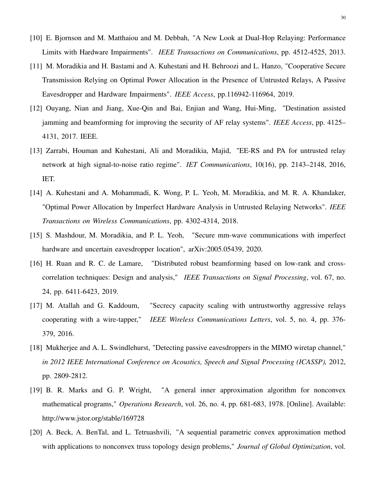- <span id="page-29-7"></span>[10] E. Bjornson and M. Matthaiou and M. Debbah, "A New Look at Dual-Hop Relaying: Performance Limits with Hardware Impairments". *IEEE Transactions on Communications*, pp. 4512-4525, 2013.
- <span id="page-29-3"></span>[11] M. Moradikia and H. Bastami and A. Kuhestani and H. Behroozi and L. Hanzo, "Cooperative Secure Transmission Relying on Optimal Power Allocation in the Presence of Untrusted Relays, A Passive Eavesdropper and Hardware Impairments". *IEEE Access*, pp.116942-116964, 2019.
- <span id="page-29-2"></span>[12] Ouyang, Nian and Jiang, Xue-Qin and Bai, Enjian and Wang, Hui-Ming, "Destination assisted jamming and beamforming for improving the security of AF relay systems". *IEEE Access*, pp. 4125– 4131, 2017. IEEE.
- [13] Zarrabi, Houman and Kuhestani, Ali and Moradikia, Majid, "EE-RS and PA for untrusted relay network at high signal-to-noise ratio regime". *IET Communications*, 10(16), pp. 2143–2148, 2016, IET.
- <span id="page-29-1"></span>[14] A. Kuhestani and A. Mohammadi, K. Wong, P. L. Yeoh, M. Moradikia, and M. R. A. Khandaker, "Optimal Power Allocation by Imperfect Hardware Analysis in Untrusted Relaying Networks". *IEEE Transactions on Wireless Communications*, pp. 4302-4314, 2018.
- <span id="page-29-0"></span>[15] S. Mashdour, M. Moradikia, and P. L. Yeoh, "Secure mm-wave communications with imperfect hardware and uncertain eavesdropper location", arXiv:2005.05439, 2020.
- [16] H. Ruan and R. C. de Lamare, "Distributed robust beamforming based on low-rank and crosscorrelation techniques: Design and analysis," *IEEE Transactions on Signal Processing*, vol. 67, no. 24, pp. 6411-6423, 2019.
- [17] M. Atallah and G. Kaddoum, "Secrecy capacity scaling with untrustworthy aggressive relays cooperating with a wire-tapper," *IEEE Wireless Communications Letters*, vol. 5, no. 4, pp. 376- 379, 2016.
- <span id="page-29-6"></span>[18] Mukherjee and A. L. Swindlehurst, "Detecting passive eavesdroppers in the MIMO wiretap channel," *in 2012 IEEE International Conference on Acoustics, Speech and Signal Processing (ICASSP),* 2012, pp. 2809-2812.
- <span id="page-29-4"></span>[19] B. R. Marks and G. P. Wright, "A general inner approximation algorithm for nonconvex mathematical programs," *Operations Research*, vol. 26, no. 4, pp. 681-683, 1978. [Online]. Available: http://www.jstor.org/stable/169728
- <span id="page-29-5"></span>[20] A. Beck, A. BenTal, and L. Tetruashvili, "A sequential parametric convex approximation method with applications to nonconvex truss topology design problems," *Journal of Global Optimization*, vol.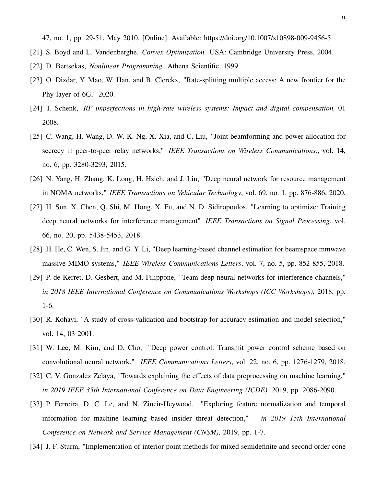47, no. 1, pp. 29-51, May 2010. [Online]. Available: https://doi.org/10.1007/s10898-009-9456-5

- <span id="page-30-6"></span>[21] S. Boyd and L. Vandenberghe, *Convex Optimization.* USA: Cambridge University Press, 2004.
- <span id="page-30-0"></span>[22] D. Bertsekas, *Nonlinear Programming.* Athena Scientific, 1999.
- [23] O. Dizdar, Y. Mao, W. Han, and B. Clerckx, "Rate-splitting multiple access: A new frontier for the Phy layer of 6G," 2020.
- <span id="page-30-4"></span>[24] T. Schenk, *RF imperfections in high-rate wireless systems: Impact and digital compensation,* 01 2008.
- <span id="page-30-5"></span>[25] C. Wang, H. Wang, D. W. K. Ng, X. Xia, and C. Liu, "Joint beamforming and power allocation for secrecy in peer-to-peer relay networks," *IEEE Transactions on Wireless Communications,*, vol. 14, no. 6, pp. 3280-3293, 2015.
- <span id="page-30-1"></span>[26] N. Yang, H. Zhang, K. Long, H. Hsieh, and J. Liu, "Deep neural network for resource management in NOMA networks," *IEEE Transactions on Vehicular Technology*, vol. 69, no. 1, pp. 876-886, 2020.
- <span id="page-30-2"></span>[27] H. Sun, X. Chen, Q. Shi, M. Hong, X. Fu, and N. D. Sidiropoulos, "Learning to optimize: Training deep neural networks for interference management" *IEEE Transactions on Signal Processing*, vol. 66, no. 20, pp. 5438-5453, 2018.
- [28] H. He, C. Wen, S. Jin, and G. Y. Li, "Deep learning-based channel estimation for beamspace mmwave massive MIMO systems," *IEEE Wireless Communications Letters*, vol. 7, no. 5, pp. 852-855, 2018.
- [29] P. de Kerret, D. Gesbert, and M. Filippone, "Team deep neural networks for interference channels," *in 2018 IEEE International Conference on Communications Workshops (ICC Workshops),* 2018, pp. 1-6.
- <span id="page-30-9"></span>[30] R. Kohavi, "A study of cross-validation and bootstrap for accuracy estimation and model selection," vol. 14, 03 2001.
- <span id="page-30-3"></span>[31] W. Lee, M. Kim, and D. Cho, "Deep power control: Transmit power control scheme based on convolutional neural network," *IEEE Communications Letters*, vol. 22, no. 6, pp. 1276-1279, 2018.
- <span id="page-30-7"></span>[32] C. V. Gonzalez Zelaya, "Towards explaining the effects of data preprocessing on machine learning," *in 2019 IEEE 35th International Conference on Data Engineering (ICDE),* 2019, pp. 2086-2090.
- <span id="page-30-8"></span>[33] P. Ferreira, D. C. Le, and N. Zincir-Heywood, "Exploring feature normalization and temporal information for machine learning based insider threat detection," *in 2019 15th International Conference on Network and Service Management (CNSM),* 2019, pp. 1-7.
- <span id="page-30-10"></span>[34] J. F. Sturm, "Implementation of interior point methods for mixed semidefinite and second order cone